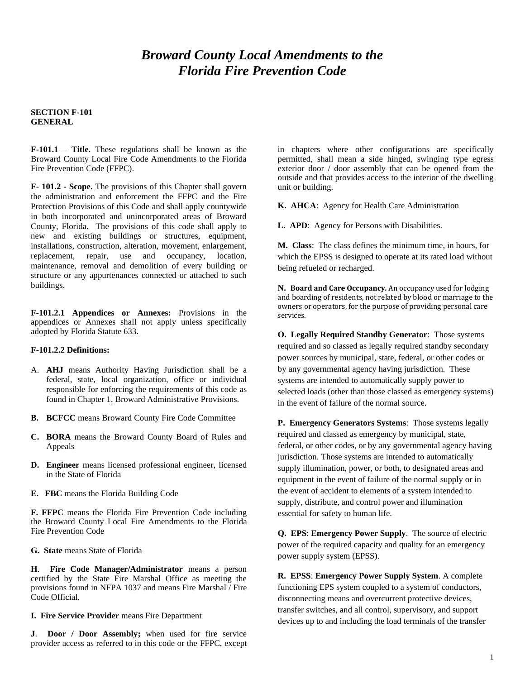# *Broward County Local Amendments to the Florida Fire Prevention Code*

#### **SECTION F-101 GENERAL**

**F-101.1**— **Title.** These regulations shall be known as the Broward County Local Fire Code Amendments to the Florida Fire Prevention Code (FFPC).

**F- 101.2 - Scope.** The provisions of this Chapter shall govern the administration and enforcement the FFPC and the Fire Protection Provisions of this Code and shall apply countywide in both incorporated and unincorporated areas of Broward County, Florida. The provisions of this code shall apply to new and existing buildings or structures, equipment, installations, construction, alteration, movement, enlargement, replacement, repair, use and occupancy, location, maintenance, removal and demolition of every building or structure or any appurtenances connected or attached to such buildings.

**F-101.2.1 Appendices or Annexes:** Provisions in the appendices or Annexes shall not apply unless specifically adopted by Florida Statute 633.

#### **F-101.2.2 Definitions:**

- A. **AHJ** means Authority Having Jurisdiction shall be a federal, state, local organization, office or individual responsible for enforcing the requirements of this code as found in Chapter 1, Broward Administrative Provisions.
- **B. BCFCC** means Broward County Fire Code Committee
- **C. BORA** means the Broward County Board of Rules and Appeals
- **D. Engineer** means licensed professional engineer, licensed in the State of Florida
- **E. FBC** means the Florida Building Code

**F. FFPC** means the Florida Fire Prevention Code including the Broward County Local Fire Amendments to the Florida Fire Prevention Code

**G. State** means State of Florida

**H**. **Fire Code Manager/Administrator** means a person certified by the State Fire Marshal Office as meeting the provisions found in NFPA 1037 and means Fire Marshal / Fire Code Official.

**I. Fire Service Provider** means Fire Department

**J**. **Door / Door Assembly;** when used for fire service provider access as referred to in this code or the FFPC, except in chapters where other configurations are specifically permitted, shall mean a side hinged, swinging type egress exterior door / door assembly that can be opened from the outside and that provides access to the interior of the dwelling unit or building.

**K. AHCA**: Agency for Health Care Administration

**L. APD**: Agency for Persons with Disabilities.

**M. Class**: The class defines the minimum time, in hours, for which the EPSS is designed to operate at its rated load without being refueled or recharged.

**N. Board and Care Occupancy***.* An occupancy used for lodging and boarding of residents, not related by blood or marriage to the owners or operators, for the purpose of providing personal care services.

**O. Legally Required Standby Generator**: Those systems required and so classed as legally required standby secondary power sources by municipal, state, federal, or other codes or by any governmental agency having jurisdiction. These systems are intended to automatically supply power to selected loads (other than those classed as emergency systems) in the event of failure of the normal source.

**P. Emergency Generators Systems**: Those systems legally required and classed as emergency by municipal, state, federal, or other codes, or by any governmental agency having jurisdiction. Those systems are intended to automatically supply illumination, power, or both, to designated areas and equipment in the event of failure of the normal supply or in the event of accident to elements of a system intended to supply, distribute, and control power and illumination essential for safety to human life.

**Q. EPS**: **Emergency Power Supply**. The source of electric power of the required capacity and quality for an emergency power supply system (EPSS).

**R. EPSS**: **Emergency Power Supply System**. A complete functioning EPS system coupled to a system of conductors, disconnecting means and overcurrent protective devices, transfer switches, and all control, supervisory, and support devices up to and including the load terminals of the transfer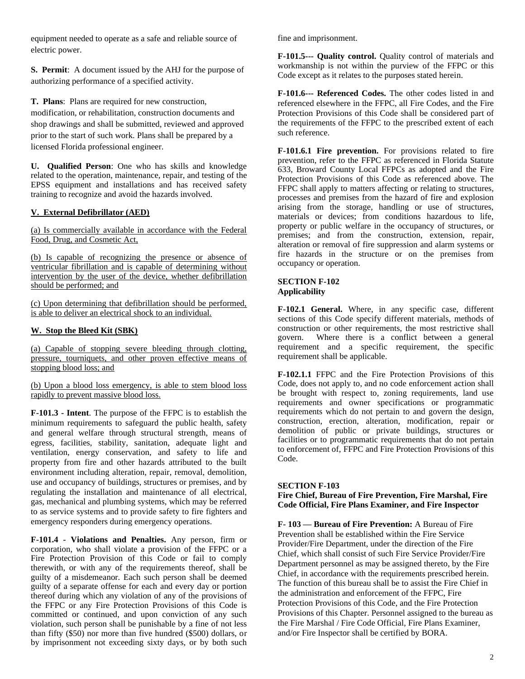equipment needed to operate as a safe and reliable source of electric power.

**S. Permit**: A document issued by the AHJ for the purpose of authorizing performance of a specified activity.

**T. Plans**: Plans are required for new construction, modification, or rehabilitation, construction documents and shop drawings and shall be submitted, reviewed and approved prior to the start of such work. Plans shall be prepared by a licensed Florida professional engineer.

**U. Qualified Person**: One who has skills and knowledge related to the operation, maintenance, repair, and testing of the EPSS equipment and installations and has received safety training to recognize and avoid the hazards involved.

### **V. External Defibrillator (AED)**

(a) Is commercially available in accordance with the Federal Food, Drug, and Cosmetic Act,

(b) Is capable of recognizing the presence or absence of ventricular fibrillation and is capable of determining without intervention by the user of the device, whether defibrillation should be performed; and

(c) Upon determining that defibrillation should be performed, is able to deliver an electrical shock to an individual.

### **W. Stop the Bleed Kit (SBK)**

(a) Capable of stopping severe bleeding through clotting, pressure, tourniquets, and other proven effective means of stopping blood loss; and

(b) Upon a blood loss emergency, is able to stem blood loss rapidly to prevent massive blood loss.

**F-101.3 - Intent**. The purpose of the FFPC is to establish the minimum requirements to safeguard the public health, safety and general welfare through structural strength, means of egress, facilities, stability, sanitation, adequate light and ventilation, energy conservation, and safety to life and property from fire and other hazards attributed to the built environment including alteration, repair, removal, demolition, use and occupancy of buildings, structures or premises, and by regulating the installation and maintenance of all electrical, gas, mechanical and plumbing systems, which may be referred to as service systems and to provide safety to fire fighters and emergency responders during emergency operations.

**F-101.4 - Violations and Penalties.** Any person, firm or corporation, who shall violate a provision of the FFPC or a Fire Protection Provision of this Code or fail to comply therewith, or with any of the requirements thereof, shall be guilty of a misdemeanor. Each such person shall be deemed guilty of a separate offense for each and every day or portion thereof during which any violation of any of the provisions of the FFPC or any Fire Protection Provisions of this Code is committed or continued, and upon conviction of any such violation, such person shall be punishable by a fine of not less than fifty (\$50) nor more than five hundred (\$500) dollars, or by imprisonment not exceeding sixty days, or by both such

fine and imprisonment.

**F-101.5--- Quality control.** Quality control of materials and workmanship is not within the purview of the FFPC or this Code except as it relates to the purposes stated herein.

**F-101.6--- Referenced Codes.** The other codes listed in and referenced elsewhere in the FFPC, all Fire Codes, and the Fire Protection Provisions of this Code shall be considered part of the requirements of the FFPC to the prescribed extent of each such reference.

**F-101.6.1 Fire prevention.** For provisions related to fire prevention, refer to the FFPC as referenced in Florida Statute 633, Broward County Local FFPCs as adopted and the Fire Protection Provisions of this Code as referenced above. The FFPC shall apply to matters affecting or relating to structures, processes and premises from the hazard of fire and explosion arising from the storage, handling or use of structures, materials or devices; from conditions hazardous to life, property or public welfare in the occupancy of structures, or premises; and from the construction, extension, repair, alteration or removal of fire suppression and alarm systems or fire hazards in the structure or on the premises from occupancy or operation.

### **SECTION F-102 Applicability**

**F-102.1 General.** Where, in any specific case, different sections of this Code specify different materials, methods of construction or other requirements, the most restrictive shall govern. Where there is a conflict between a general requirement and a specific requirement, the specific requirement shall be applicable.

**F-102.1.1** FFPC and the Fire Protection Provisions of this Code, does not apply to, and no code enforcement action shall be brought with respect to, zoning requirements, land use requirements and owner specifications or programmatic requirements which do not pertain to and govern the design, construction, erection, alteration, modification, repair or demolition of public or private buildings, structures or facilities or to programmatic requirements that do not pertain to enforcement of, FFPC and Fire Protection Provisions of this Code.

#### **SECTION F-103**

**Fire Chief, Bureau of Fire Prevention, Fire Marshal, Fire Code Official, Fire Plans Examiner, and Fire Inspector**

**F- 103 — Bureau of Fire Prevention:** A Bureau of Fire Prevention shall be established within the Fire Service Provider/Fire Department, under the direction of the Fire Chief, which shall consist of such Fire Service Provider/Fire Department personnel as may be assigned thereto, by the Fire Chief, in accordance with the requirements prescribed herein. The function of this bureau shall be to assist the Fire Chief in the administration and enforcement of the FFPC, Fire Protection Provisions of this Code, and the Fire Protection Provisions of this Chapter. Personnel assigned to the bureau as the Fire Marshal / Fire Code Official, Fire Plans Examiner, and/or Fire Inspector shall be certified by BORA.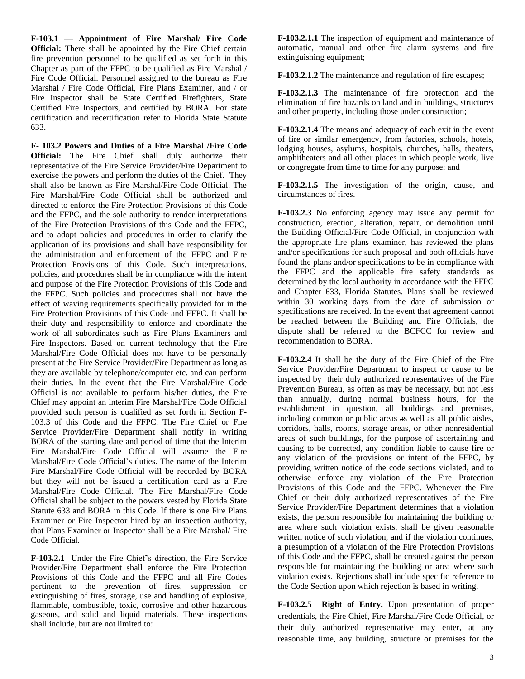**F-103.1 — Appointmen**t o**f Fire Marshal/ Fire Code Official:** There shall be appointed by the Fire Chief certain fire prevention personnel to be qualified as set forth in this Chapter as part of the FFPC to be qualified as Fire Marshal / Fire Code Official. Personnel assigned to the bureau as Fire Marshal / Fire Code Official, Fire Plans Examiner, and / or Fire Inspector shall be State Certified Firefighters, State Certified Fire Inspectors, and certified by BORA. For state certification and recertification refer to Florida State Statute 633.

**F- 103.2 Powers and Duties of a Fire Marshal /Fire Code Official:** The Fire Chief shall duly authorize their representative of the Fire Service Provider/Fire Department to exercise the powers and perform the duties of the Chief. They shall also be known as Fire Marshal/Fire Code Official. The Fire Marshal/Fire Code Official shall be authorized and directed to enforce the Fire Protection Provisions of this Code and the FFPC, and the sole authority to render interpretations of the Fire Protection Provisions of this Code and the FFPC, and to adopt policies and procedures in order to clarify the application of its provisions and shall have responsibility for the administration and enforcement of the FFPC and Fire Protection Provisions of this Code. Such interpretations, policies, and procedures shall be in compliance with the intent and purpose of the Fire Protection Provisions of this Code and the FFPC. Such policies and procedures shall not have the effect of waving requirements specifically provided for in the Fire Protection Provisions of this Code and FFPC. It shall be their duty and responsibility to enforce and coordinate the work of all subordinates such as Fire Plans Examiners and Fire Inspectors. Based on current technology that the Fire Marshal/Fire Code Official does not have to be personally present at the Fire Service Provider/Fire Department as long as they are available by telephone/computer etc. and can perform their duties. In the event that the Fire Marshal/Fire Code Official is not available to perform his/her duties, the Fire Chief may appoint an interim Fire Marshal/Fire Code Official provided such person is qualified as set forth in Section F-103.3 of this Code and the FFPC. The Fire Chief or Fire Service Provider/Fire Department shall notify in writing BORA of the starting date and period of time that the Interim Fire Marshal/Fire Code Official will assume the Fire Marshal/Fire Code Official's duties. The name of the Interim Fire Marshal/Fire Code Official will be recorded by BORA but they will not be issued a certification card as a Fire Marshal/Fire Code Official. The Fire Marshal/Fire Code Official shall be subject to the powers vested by Florida State Statute 633 and BORA in this Code. If there is one Fire Plans Examiner or Fire Inspector hired by an inspection authority, that Plans Examiner or Inspector shall be a Fire Marshal/ Fire Code Official.

**F-103.2.1** Under the Fire Chief's direction, the Fire Service Provider/Fire Department shall enforce the Fire Protection Provisions of this Code and the FFPC and all Fire Codes pertinent to the prevention of fires, suppression or extinguishing of fires, storage, use and handling of explosive, flammable, combustible, toxic, corrosive and other hazardous gaseous, and solid and liquid materials. These inspections shall include, but are not limited to:

**F-103.2.1.1** The inspection of equipment and maintenance of automatic, manual and other fire alarm systems and fire extinguishing equipment;

**F-103.2.1.2** The maintenance and regulation of fire escapes;

**F-103.2.1.3** The maintenance of fire protection and the elimination of fire hazards on land and in buildings, structures and other property, including those under construction;

**F-103.2.1.4** The means and adequacy of each exit in the event of fire or similar emergency, from factories, schools, hotels, lodging houses, asylums, hospitals, churches, halls, theaters, amphitheaters and all other places in which people work, live or congregate from time to time for any purpose; and

**F-103.2.1.5** The investigation of the origin, cause, and circumstances of fires.

**F-103.2.3** No enforcing agency may issue any permit for construction, erection, alteration, repair, or demolition until the Building Official/Fire Code Official, in conjunction with the appropriate fire plans examiner, has reviewed the plans and/or specifications for such proposal and both officials have found the plans and/or specifications to be in compliance with the FFPC and the applicable fire safety standards as determined by the local authority in accordance with the FFPC and Chapter 633, Florida Statutes. Plans shall be reviewed within 30 working days from the date of submission or specifications are received. In the event that agreement cannot be reached between the Building and Fire Officials, the dispute shall be referred to the BCFCC for review and recommendation to BORA.

**F-103.2.4** It shall be the duty of the Fire Chief of the Fire Service Provider/Fire Department to inspect or cause to be inspected by their duly authorized representatives of the Fire Prevention Bureau, as often as may be necessary, but not less than annually, during normal business hours, for the establishment in question, all buildings and premises, including common or public areas as well as all public aisles, corridors, halls, rooms, storage areas, or other nonresidential areas of such buildings, for the purpose of ascertaining and causing to be corrected, any condition liable to cause fire or any violation of the provisions or intent of the FFPC, by providing written notice of the code sections violated, and to otherwise enforce any violation of the Fire Protection Provisions of this Code and the FFPC. Whenever the Fire Chief or their duly authorized representatives of the Fire Service Provider/Fire Department determines that a violation exists, the person responsible for maintaining the building or area where such violation exists, shall be given reasonable written notice of such violation, and if the violation continues, a presumption of a violation of the Fire Protection Provisions of this Code and the FFPC, shall be created against the person responsible for maintaining the building or area where such violation exists. Rejections shall include specific reference to the Code Section upon which rejection is based in writing.

**F-103.2.5 Right of Entry.** Upon presentation of proper credentials, the Fire Chief, Fire Marshal/Fire Code Official, or their duly authorized representative may enter, at any reasonable time, any building, structure or premises for the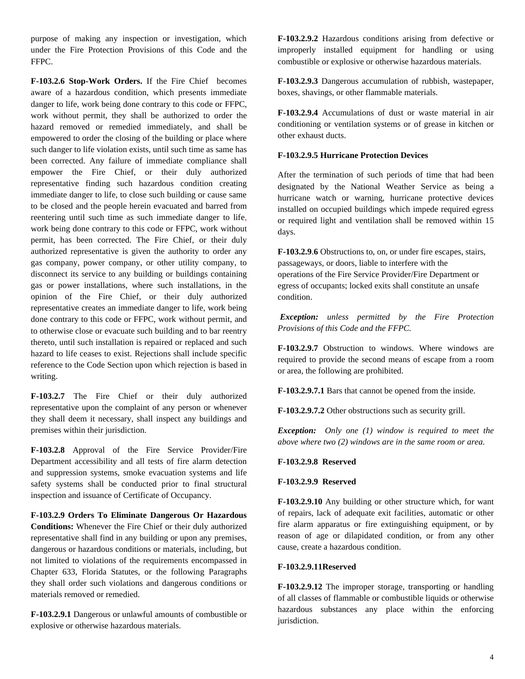purpose of making any inspection or investigation, which under the Fire Protection Provisions of this Code and the FFPC.

**F-103.2.6 Stop-Work Orders.** If the Fire Chief becomes aware of a hazardous condition, which presents immediate danger to life, work being done contrary to this code or FFPC, work without permit, they shall be authorized to order the hazard removed or remedied immediately, and shall be empowered to order the closing of the building or place where such danger to life violation exists, until such time as same has been corrected. Any failure of immediate compliance shall empower the Fire Chief, or their duly authorized representative finding such hazardous condition creating immediate danger to life, to close such building or cause same to be closed and the people herein evacuated and barred from reentering until such time as such immediate danger to life, work being done contrary to this code or FFPC, work without permit, has been corrected. The Fire Chief, or their duly authorized representative is given the authority to order any gas company, power company, or other utility company, to disconnect its service to any building or buildings containing gas or power installations, where such installations, in the opinion of the Fire Chief, or their duly authorized representative creates an immediate danger to life, work being done contrary to this code or FFPC, work without permit, and to otherwise close or evacuate such building and to bar reentry thereto, until such installation is repaired or replaced and such hazard to life ceases to exist. Rejections shall include specific reference to the Code Section upon which rejection is based in writing.

**F-103.2.7** The Fire Chief or their duly authorized representative upon the complaint of any person or whenever they shall deem it necessary, shall inspect any buildings and premises within their jurisdiction.

**F-103.2.8** Approval of the Fire Service Provider/Fire Department accessibility and all tests of fire alarm detection and suppression systems, smoke evacuation systems and life safety systems shall be conducted prior to final structural inspection and issuance of Certificate of Occupancy.

**F-103.2.9 Orders To Eliminate Dangerous Or Hazardous Conditions:** Whenever the Fire Chief or their duly authorized representative shall find in any building or upon any premises, dangerous or hazardous conditions or materials, including, but not limited to violations of the requirements encompassed in Chapter 633, Florida Statutes, or the following Paragraphs they shall order such violations and dangerous conditions or materials removed or remedied.

**F-103.2.9.1** Dangerous or unlawful amounts of combustible or explosive or otherwise hazardous materials.

**F-103.2.9.2** Hazardous conditions arising from defective or improperly installed equipment for handling or using combustible or explosive or otherwise hazardous materials.

**F-103.2.9.3** Dangerous accumulation of rubbish, wastepaper, boxes, shavings, or other flammable materials.

**F-103.2.9.4** Accumulations of dust or waste material in air conditioning or ventilation systems or of grease in kitchen or other exhaust ducts.

# **F-103.2.9.5 Hurricane Protection Devices**

After the termination of such periods of time that had been designated by the National Weather Service as being a hurricane watch or warning, hurricane protective devices installed on occupied buildings which impede required egress or required light and ventilation shall be removed within 15 days.

**F-103.2.9**.**6** Obstructions to, on, or under fire escapes, stairs, passageways, or doors, liable to interfere with the operations of the Fire Service Provider/Fire Department or egress of occupants; locked exits shall constitute an unsafe condition.

*Exception: unless permitted by the Fire Protection Provisions of this Code and the FFPC.*

**F-103.2.9.7** Obstruction to windows. Where windows are required to provide the second means of escape from a room or area, the following are prohibited.

**F-103.2.9.7.1** Bars that cannot be opened from the inside.

**F-103.2.9.7.2** Other obstructions such as security grill.

*Exception: Only one (1) window is required to meet the above where two (2) windows are in the same room or area.* 

#### **F-103.2.9.8 Reserved**

# **F-103.2.9.9 Reserved**

**F-103.2.9.10** Any building or other structure which, for want of repairs, lack of adequate exit facilities, automatic or other fire alarm apparatus or fire extinguishing equipment, or by reason of age or dilapidated condition, or from any other cause, create a hazardous condition.

#### **F-103.2.9.11Reserved**

**F-103.2.9.12** The improper storage, transporting or handling of all classes of flammable or combustible liquids or otherwise hazardous substances any place within the enforcing jurisdiction.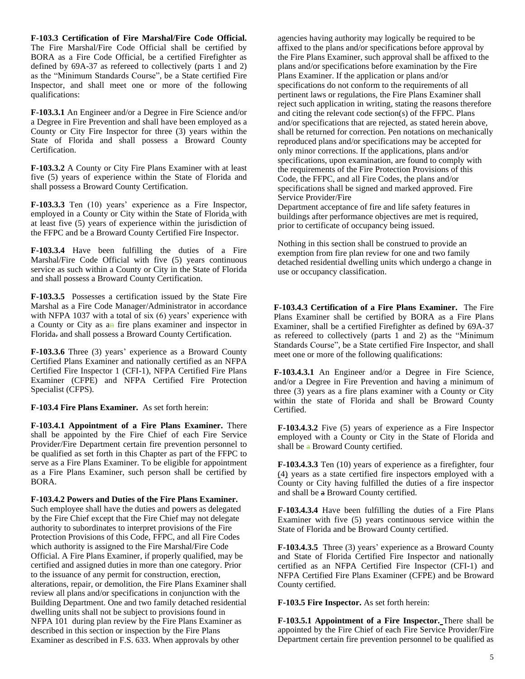**F-103.3 Certification of Fire Marshal/Fire Code Official.**  The Fire Marshal/Fire Code Official shall be certified by BORA as a Fire Code Official, be a certified Firefighter as defined by 69A-37 as refereed to collectively (parts 1 and 2) as the "Minimum Standards Course", be a State certified Fire Inspector, and shall meet one or more of the following qualifications:

**F-103.3.1** An Engineer and/or a Degree in Fire Science and/or a Degree in Fire Prevention and shall have been employed as a County or City Fire Inspector for three (3) years within the State of Florida and shall possess a Broward County Certification.

**F-103.3.2** A County or City Fire Plans Examiner with at least five (5) years of experience within the State of Florida and shall possess a Broward County Certification.

**F-103.3.3** Ten (10) years' experience as a Fire Inspector, employed in a County or City within the State of Florida with at least five (5) years of experience within the jurisdiction of the FFPC and be a Broward County Certified Fire Inspector.

**F-103.3.4** Have been fulfilling the duties of a Fire Marshal/Fire Code Official with five (5) years continuous service as such within a County or City in the State of Florida and shall possess a Broward County Certification.

**F-103.3.5** Possesses a certification issued by the State Fire Marshal as a Fire Code Manager/Administrator in accordance with NFPA 1037 with a total of six (6) years' experience with a County or City as an fire plans examiner and inspector in Florida. and shall possess a Broward County Certification.

**F-103.3.6** Three (3) years' experience as a Broward County Certified Plans Examiner and nationally certified as an NFPA Certified Fire Inspector 1 (CFI-1), NFPA Certified Fire Plans Examiner (CFPE) and NFPA Certified Fire Protection Specialist (CFPS).

**F-103.4 Fire Plans Examiner.** As set forth herein:

**F-103.4.1 Appointment of a Fire Plans Examiner.** There shall be appointed by the Fire Chief of each Fire Service Provider/Fire Department certain fire prevention personnel to be qualified as set forth in this Chapter as part of the FFPC to serve as a Fire Plans Examiner. To be eligible for appointment as a Fire Plans Examiner, such person shall be certified by BORA.

**F-103.4.2 Powers and Duties of the Fire Plans Examiner.**  Such employee shall have the duties and powers as delegated by the Fire Chief except that the Fire Chief may not delegate authority to subordinates to interpret provisions of the Fire Protection Provisions of this Code, FFPC, and all Fire Codes which authority is assigned to the Fire Marshal/Fire Code Official. A Fire Plans Examiner, if properly qualified, may be certified and assigned duties in more than one category. Prior to the issuance of any permit for construction, erection, alterations, repair, or demolition, the Fire Plans Examiner shall review all plans and/or specifications in conjunction with the Building Department. One and two family detached residential dwelling units shall not be subject to provisions found in NFPA 101 during plan review by the Fire Plans Examiner as described in this section or inspection by the Fire Plans Examiner as described in F.S. 633. When approvals by other

agencies having authority may logically be required to be affixed to the plans and/or specifications before approval by the Fire Plans Examiner, such approval shall be affixed to the plans and/or specifications before examination by the Fire Plans Examiner. If the application or plans and/or specifications do not conform to the requirements of all pertinent laws or regulations, the Fire Plans Examiner shall reject such application in writing, stating the reasons therefore and citing the relevant code section(s) of the FFPC. Plans and/or specifications that are rejected, as stated herein above, shall be returned for correction. Pen notations on mechanically reproduced plans and/or specifications may be accepted for only minor corrections. If the applications, plans and/or specifications, upon examination, are found to comply with the requirements of the Fire Protection Provisions of this Code, the FFPC, and all Fire Codes, the plans and/or specifications shall be signed and marked approved. Fire Service Provider/Fire

Department acceptance of fire and life safety features in buildings after performance objectives are met is required, prior to certificate of occupancy being issued.

Nothing in this section shall be construed to provide an exemption from fire plan review for one and two family detached residential dwelling units which undergo a change in use or occupancy classification.

**F-103.4.3 Certification of a Fire Plans Examiner.** The Fire Plans Examiner shall be certified by BORA as a Fire Plans Examiner, shall be a certified Firefighter as defined by 69A-37 as refereed to collectively (parts 1 and 2) as the "Minimum Standards Course", be a State certified Fire Inspector, and shall meet one or more of the following qualifications:

**F-103.4.3.1** An Engineer and/or a Degree in Fire Science, and/or a Degree in Fire Prevention and having a minimum of three (3) years as a fire plans examiner with a County or City within the state of Florida and shall be Broward County Certified.

**F-103.4.3.2** Five (5) years of experience as a Fire Inspector employed with a County or City in the State of Florida and shall be a Broward County certified.

**F-103.4.3.3** Ten (10) years of experience as a firefighter, four (4) years as a state certified fire inspectors employed with a County or City having fulfilled the duties of a fire inspector and shall be a Broward County certified.

**F-103.4.3.4** Have been fulfilling the duties of a Fire Plans Examiner with five (5) years continuous service within the State of Florida and be Broward County certified.

**F-103.4.3.5** Three (3) years' experience as a Broward County and State of Florida Certified Fire Inspector and nationally certified as an NFPA Certified Fire Inspector (CFI-1) and NFPA Certified Fire Plans Examiner (CFPE) and be Broward County certified.

**F-103.5 Fire Inspector.** As set forth herein:

**F-103.5.1 Appointment of a Fire Inspector.** There shall be appointed by the Fire Chief of each Fire Service Provider/Fire Department certain fire prevention personnel to be qualified as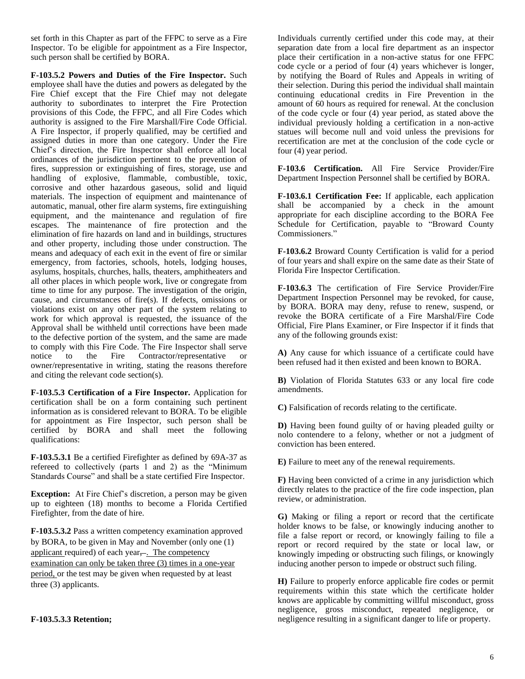set forth in this Chapter as part of the FFPC to serve as a Fire Inspector. To be eligible for appointment as a Fire Inspector, such person shall be certified by BORA.

**F-103.5.2 Powers and Duties of the Fire Inspector.** Such employee shall have the duties and powers as delegated by the Fire Chief except that the Fire Chief may not delegate authority to subordinates to interpret the Fire Protection provisions of this Code, the FFPC, and all Fire Codes which authority is assigned to the Fire Marshall/Fire Code Official. A Fire Inspector, if properly qualified, may be certified and assigned duties in more than one category. Under the Fire Chief's direction, the Fire Inspector shall enforce all local ordinances of the jurisdiction pertinent to the prevention of fires, suppression or extinguishing of fires, storage, use and handling of explosive, flammable, combustible, toxic, corrosive and other hazardous gaseous, solid and liquid materials. The inspection of equipment and maintenance of automatic, manual, other fire alarm systems, fire extinguishing equipment, and the maintenance and regulation of fire escapes. The maintenance of fire protection and the elimination of fire hazards on land and in buildings, structures and other property, including those under construction. The means and adequacy of each exit in the event of fire or similar emergency, from factories, schools, hotels, lodging houses, asylums, hospitals, churches, halls, theaters, amphitheaters and all other places in which people work, live or congregate from time to time for any purpose. The investigation of the origin, cause, and circumstances of fire(s). If defects, omissions or violations exist on any other part of the system relating to work for which approval is requested, the issuance of the Approval shall be withheld until corrections have been made to the defective portion of the system, and the same are made to comply with this Fire Code. The Fire Inspector shall serve<br>notice to the Fire Contractor/representative or to the Fire Contractor/representative or owner/representative in writing, stating the reasons therefore and citing the relevant code section(s).

**F-103.5.3 Certification of a Fire Inspector.** Application for certification shall be on a form containing such pertinent information as is considered relevant to BORA. To be eligible for appointment as Fire Inspector, such person shall be certified by BORA and shall meet the following qualifications:

**F-103.5.3.1** Be a certified Firefighter as defined by 69A-37 as refereed to collectively (parts 1 and 2) as the "Minimum Standards Course" and shall be a state certified Fire Inspector.

**Exception:** At Fire Chief's discretion, a person may be given up to eighteen (18) months to become a Florida Certified Firefighter, from the date of hire.

**F-103.5.3.2** Pass a written competency examination approved by BORA, to be given in May and November (only one (1) applicant required) of each year,-. The competency

examination can only be taken three (3) times in a one-year period, or the test may be given when requested by at least three (3) applicants.

### **F-103.5.3.3 Retention;**

Individuals currently certified under this code may, at their separation date from a local fire department as an inspector place their certification in a non-active status for one FFPC code cycle or a period of four (4) years whichever is longer, by notifying the Board of Rules and Appeals in writing of their selection. During this period the individual shall maintain continuing educational credits in Fire Prevention in the amount of 60 hours as required for renewal. At the conclusion of the code cycle or four (4) year period, as stated above the individual previously holding a certification in a non-active statues will become null and void unless the previsions for recertification are met at the conclusion of the code cycle or four (4) year period.

**F-103.6 Certification.** All Fire Service Provider/Fire Department Inspection Personnel shall be certified by BORA.

**F-103.6.1 Certification Fee:** If applicable, each application shall be accompanied by a check in the amount appropriate for each discipline according to the BORA Fee Schedule for Certification, payable to "Broward County Commissioners."

**F-103.6.2** Broward County Certification is valid for a period of four years and shall expire on the same date as their State of Florida Fire Inspector Certification.

**F-103.6.3** The certification of Fire Service Provider/Fire Department Inspection Personnel may be revoked, for cause, by BORA. BORA may deny, refuse to renew, suspend, or revoke the BORA certificate of a Fire Marshal/Fire Code Official, Fire Plans Examiner, or Fire Inspector if it finds that any of the following grounds exist:

**A)** Any cause for which issuance of a certificate could have been refused had it then existed and been known to BORA.

**B)** Violation of Florida Statutes 633 or any local fire code amendments.

**C)** Falsification of records relating to the certificate.

**D)** Having been found guilty of or having pleaded guilty or nolo contendere to a felony, whether or not a judgment of conviction has been entered.

**E)** Failure to meet any of the renewal requirements.

**F)** Having been convicted of a crime in any jurisdiction which directly relates to the practice of the fire code inspection, plan review, or administration.

**G)** Making or filing a report or record that the certificate holder knows to be false, or knowingly inducing another to file a false report or record, or knowingly failing to file a report or record required by the state or local law, or knowingly impeding or obstructing such filings, or knowingly inducing another person to impede or obstruct such filing.

**H)** Failure to properly enforce applicable fire codes or permit requirements within this state which the certificate holder knows are applicable by committing willful misconduct, gross negligence, gross misconduct, repeated negligence, or negligence resulting in a significant danger to life or property.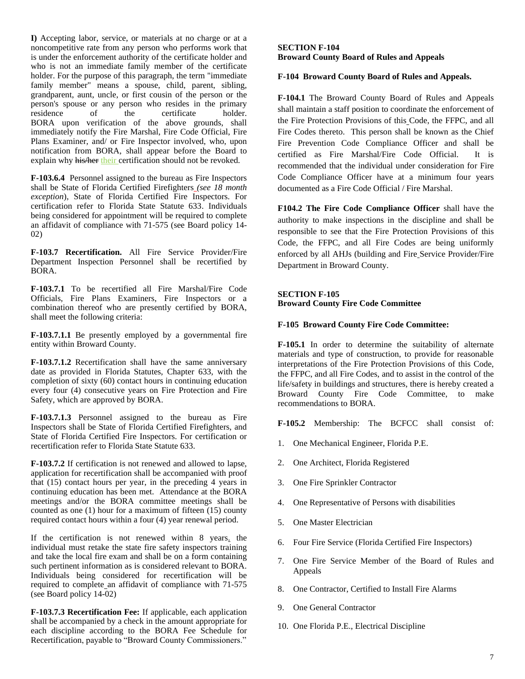**I)** Accepting labor, service, or materials at no charge or at a noncompetitive rate from any person who performs work that is under the enforcement authority of the certificate holder and who is not an immediate family member of the certificate holder. For the purpose of this paragraph, the term "immediate family member" means a spouse, child, parent, sibling, grandparent, aunt, uncle, or first cousin of the person or the person's spouse or any person who resides in the primary residence of the certificate holder. BORA upon verification of the above grounds, shall immediately notify the Fire Marshal, Fire Code Official, Fire Plans Examiner, and/ or Fire Inspector involved, who, upon notification from BORA, shall appear before the Board to explain why his/her their certification should not be revoked.

**F-103.6.4** Personnel assigned to the bureau as Fire Inspectors shall be State of Florida Certified Firefighters *(see 18 month exception*), State of Florida Certified Fire Inspectors. For certification refer to Florida State Statute 633. Individuals being considered for appointment will be required to complete an affidavit of compliance with 71-575 (see Board policy 14- 02)

**F-103.7 Recertification.** All Fire Service Provider/Fire Department Inspection Personnel shall be recertified by BORA.

**F-103.7.1** To be recertified all Fire Marshal/Fire Code Officials, Fire Plans Examiners, Fire Inspectors or a combination thereof who are presently certified by BORA, shall meet the following criteria:

**F-103.7.1.1** Be presently employed by a governmental fire entity within Broward County.

**F-103.7.1.2** Recertification shall have the same anniversary date as provided in Florida Statutes, Chapter 633, with the completion of sixty (60) contact hours in continuing education every four (4) consecutive years on Fire Protection and Fire Safety, which are approved by BORA.

**F-103.7.1.3** Personnel assigned to the bureau as Fire Inspectors shall be State of Florida Certified Firefighters, and State of Florida Certified Fire Inspectors. For certification or recertification refer to Florida State Statute 633.

**F-103.7.2** If certification is not renewed and allowed to lapse, application for recertification shall be accompanied with proof that (15) contact hours per year, in the preceding 4 years in continuing education has been met. Attendance at the BORA meetings and/or the BORA committee meetings shall be counted as one (1) hour for a maximum of fifteen (15) county required contact hours within a four (4) year renewal period.

If the certification is not renewed within 8 years. the individual must retake the state fire safety inspectors training and take the local fire exam and shall be on a form containing such pertinent information as is considered relevant to BORA. Individuals being considered for recertification will be required to complete an affidavit of compliance with 71-575 (see Board policy 14-02)

**F-103.7.3 Recertification Fee:** If applicable, each application shall be accompanied by a check in the amount appropriate for each discipline according to the BORA Fee Schedule for Recertification, payable to "Broward County Commissioners."

#### **SECTION F-104 Broward County Board of Rules and Appeals**

### **F-104 Broward County Board of Rules and Appeals.**

**F-104.1** The Broward County Board of Rules and Appeals shall maintain a staff position to coordinate the enforcement of the Fire Protection Provisions of this Code, the FFPC, and all Fire Codes thereto. This person shall be known as the Chief Fire Prevention Code Compliance Officer and shall be certified as Fire Marshal/Fire Code Official. It is recommended that the individual under consideration for Fire Code Compliance Officer have at a minimum four years documented as a Fire Code Official / Fire Marshal.

**F104.2 The Fire Code Compliance Officer** shall have the authority to make inspections in the discipline and shall be responsible to see that the Fire Protection Provisions of this Code, the FFPC, and all Fire Codes are being uniformly enforced by all AHJs (building and Fire Service Provider/Fire Department in Broward County.

# **SECTION F-105**

**Broward County Fire Code Committee**

### **F-105 Broward County Fire Code Committee:**

**F-105.1** In order to determine the suitability of alternate materials and type of construction, to provide for reasonable interpretations of the Fire Protection Provisions of this Code, the FFPC, and all Fire Codes, and to assist in the control of the life/safety in buildings and structures, there is hereby created a Broward County Fire Code Committee, to make recommendations to BORA.

**F-105.2** Membership: The BCFCC shall consist of:

- 1. One Mechanical Engineer, Florida P.E.
- 2. One Architect, Florida Registered
- 3. One Fire Sprinkler Contractor
- 4. One Representative of Persons with disabilities
- 5. One Master Electrician
- 6. Four Fire Service (Florida Certified Fire Inspectors)
- 7. One Fire Service Member of the Board of Rules and Appeals
- 8. One Contractor, Certified to Install Fire Alarms
- 9. One General Contractor
- 10. One Florida P.E., Electrical Discipline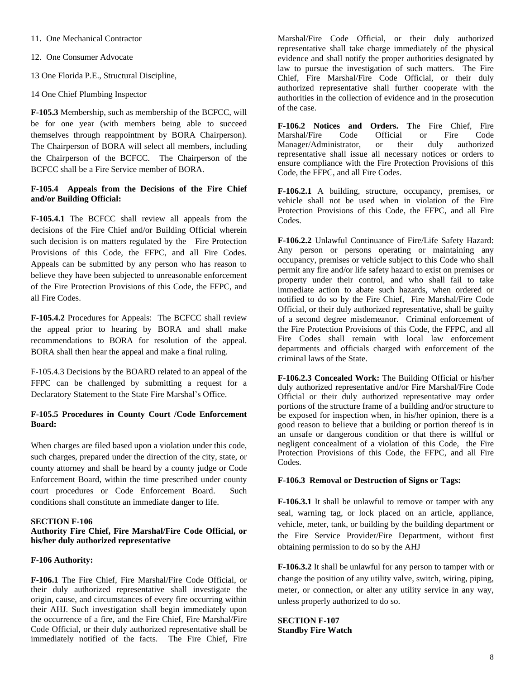11. One Mechanical Contractor

12. One Consumer Advocate

13 One Florida P.E., Structural Discipline,

14 One Chief Plumbing Inspector

**F-105.3** Membership, such as membership of the BCFCC, will be for one year (with members being able to succeed themselves through reappointment by BORA Chairperson). The Chairperson of BORA will select all members, including the Chairperson of the BCFCC. The Chairperson of the BCFCC shall be a Fire Service member of BORA.

### **F-105.4 Appeals from the Decisions of the Fire Chief and/or Building Official:**

**F-105.4.1** The BCFCC shall review all appeals from the decisions of the Fire Chief and/or Building Official wherein such decision is on matters regulated by the Fire Protection Provisions of this Code, the FFPC, and all Fire Codes. Appeals can be submitted by any person who has reason to believe they have been subjected to unreasonable enforcement of the Fire Protection Provisions of this Code, the FFPC, and all Fire Codes.

**F-105.4.2** Procedures for Appeals: The BCFCC shall review the appeal prior to hearing by BORA and shall make recommendations to BORA for resolution of the appeal. BORA shall then hear the appeal and make a final ruling.

F-105.4.3 Decisions by the BOARD related to an appeal of the FFPC can be challenged by submitting a request for a Declaratory Statement to the State Fire Marshal's Office.

### **F-105.5 Procedures in County Court /Code Enforcement Board:**

When charges are filed based upon a violation under this code, such charges, prepared under the direction of the city, state, or county attorney and shall be heard by a county judge or Code Enforcement Board, within the time prescribed under county court procedures or Code Enforcement Board. Such conditions shall constitute an immediate danger to life.

#### **SECTION F-106**

#### **Authority Fire Chief, Fire Marshal/Fire Code Official, or his/her duly authorized representative**

#### **F-106 Authority:**

**F-106.1** The Fire Chief, Fire Marshal/Fire Code Official, or their duly authorized representative shall investigate the origin, cause, and circumstances of every fire occurring within their AHJ. Such investigation shall begin immediately upon the occurrence of a fire, and the Fire Chief, Fire Marshal/Fire Code Official, or their duly authorized representative shall be immediately notified of the facts. The Fire Chief, Fire

Marshal/Fire Code Official, or their duly authorized representative shall take charge immediately of the physical evidence and shall notify the proper authorities designated by law to pursue the investigation of such matters. The Fire Chief, Fire Marshal/Fire Code Official, or their duly authorized representative shall further cooperate with the authorities in the collection of evidence and in the prosecution of the case.

**F-106.2 Notices and Orders. T**he Fire Chief, Fire Marshal/Fire Code Official or Fire Code Manager/Administrator, or their duly authorized representative shall issue all necessary notices or orders to ensure compliance with the Fire Protection Provisions of this Code, the FFPC, and all Fire Codes.

**F-106.2.1** A building, structure, occupancy, premises, or vehicle shall not be used when in violation of the Fire Protection Provisions of this Code, the FFPC, and all Fire Codes.

**F-106.2.2** Unlawful Continuance of Fire/Life Safety Hazard: Any person or persons operating or maintaining any occupancy, premises or vehicle subject to this Code who shall permit any fire and/or life safety hazard to exist on premises or property under their control, and who shall fail to take immediate action to abate such hazards, when ordered or notified to do so by the Fire Chief, Fire Marshal/Fire Code Official, or their duly authorized representative, shall be guilty of a second degree misdemeanor. Criminal enforcement of the Fire Protection Provisions of this Code, the FFPC, and all Fire Codes shall remain with local law enforcement departments and officials charged with enforcement of the criminal laws of the State.

**F-106.2.3 Concealed Work:** The Building Official or his/her duly authorized representative and/or Fire Marshal/Fire Code Official or their duly authorized representative may order portions of the structure frame of a building and/or structure to be exposed for inspection when, in his/her opinion, there is a good reason to believe that a building or portion thereof is in an unsafe or dangerous condition or that there is willful or negligent concealment of a violation of this Code, the Fire Protection Provisions of this Code, the FFPC, and all Fire Codes.

### **F-106.3 Removal or Destruction of Signs or Tags:**

**F-106.3.1** It shall be unlawful to remove or tamper with any seal, warning tag, or lock placed on an article, appliance, vehicle, meter, tank, or building by the building department or the Fire Service Provider/Fire Department, without first obtaining permission to do so by the AHJ

**F-106.3.2** It shall be unlawful for any person to tamper with or change the position of any utility valve, switch, wiring, piping, meter, or connection, or alter any utility service in any way, unless properly authorized to do so.

**SECTION F-107 Standby Fire Watch**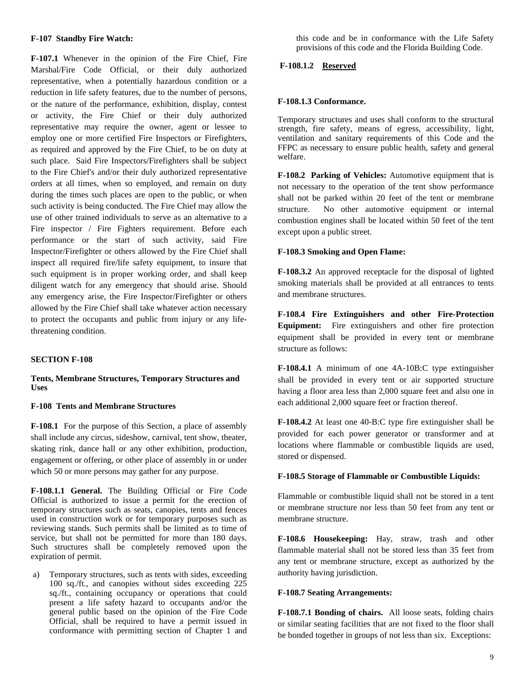#### **F-107 Standby Fire Watch:**

**F-107.1** Whenever in the opinion of the Fire Chief, Fire Marshal/Fire Code Official, or their duly authorized representative, when a potentially hazardous condition or a reduction in life safety features, due to the number of persons, or the nature of the performance, exhibition, display, contest or activity, the Fire Chief or their duly authorized representative may require the owner, agent or lessee to employ one or more certified Fire Inspectors or Firefighters, as required and approved by the Fire Chief, to be on duty at such place. Said Fire Inspectors/Firefighters shall be subject to the Fire Chief's and/or their duly authorized representative orders at all times, when so employed, and remain on duty during the times such places are open to the public, or when such activity is being conducted. The Fire Chief may allow the use of other trained individuals to serve as an alternative to a Fire inspector / Fire Fighters requirement. Before each performance or the start of such activity, said Fire Inspector/Firefighter or others allowed by the Fire Chief shall inspect all required fire/life safety equipment, to insure that such equipment is in proper working order, and shall keep diligent watch for any emergency that should arise. Should any emergency arise, the Fire Inspector/Firefighter or others allowed by the Fire Chief shall take whatever action necessary to protect the occupants and public from injury or any lifethreatening condition.

# **SECTION F-108**

#### **Tents, Membrane Structures, Temporary Structures and Uses**

#### **F-108 Tents and Membrane Structures**

**F-108.1** For the purpose of this Section, a place of assembly shall include any circus, sideshow, carnival, tent show, theater, skating rink, dance hall or any other exhibition, production, engagement or offering, or other place of assembly in or under which 50 or more persons may gather for any purpose.

**F-108.1.1 General.** The Building Official or Fire Code Official is authorized to issue a permit for the erection of temporary structures such as seats, canopies, tents and fences used in construction work or for temporary purposes such as reviewing stands. Such permits shall be limited as to time of service, but shall not be permitted for more than 180 days. Such structures shall be completely removed upon the expiration of permit.

a) Temporary structures, such as tents with sides, exceeding 100 sq./ft*.*, and canopies without sides exceeding 225 sq./ft., containing occupancy or operations that could present a life safety hazard to occupants and/or the general public based on the opinion of the Fire Code Official, shall be required to have a permit issued in conformance with permitting section of Chapter 1 and

this code and be in conformance with the Life Safety provisions of this code and the Florida Building Code.

### **F-108.1.2 Reserved**

### **F-108.1.3 Conformance.**

Temporary structures and uses shall conform to the structural strength, fire safety, means of egress, accessibility, light, ventilation and sanitary requirements of this Code and the FFPC as necessary to ensure public health, safety and general welfare.

**F-108.2 Parking of Vehicles:** Automotive equipment that is not necessary to the operation of the tent show performance shall not be parked within 20 feet of the tent or membrane structure. No other automotive equipment or internal combustion engines shall be located within 50 feet of the tent except upon a public street.

### **F-108.3 Smoking and Open Flame:**

**F-108.3.2** An approved receptacle for the disposal of lighted smoking materials shall be provided at all entrances to tents and membrane structures.

**F-108.4 Fire Extinguishers and other Fire-Protection Equipment:** Fire extinguishers and other fire protection equipment shall be provided in every tent or membrane structure as follows:

**F-108.4.1** A minimum of one 4A-10B:C type extinguisher shall be provided in every tent or air supported structure having a floor area less than 2,000 square feet and also one in each additional 2,000 square feet or fraction thereof.

**F-108.4.2** At least one 40-B:C type fire extinguisher shall be provided for each power generator or transformer and at locations where flammable or combustible liquids are used, stored or dispensed.

### **F-108.5 Storage of Flammable or Combustible Liquids:**

Flammable or combustible liquid shall not be stored in a tent or membrane structure nor less than 50 feet from any tent or membrane structure.

**F-108.6 Housekeeping:** Hay, straw, trash and other flammable material shall not be stored less than 35 feet from any tent or membrane structure, except as authorized by the authority having jurisdiction.

#### **F-108.7 Seating Arrangements:**

**F-108.7.1 Bonding of chairs.** All loose seats, folding chairs or similar seating facilities that are not fixed to the floor shall be bonded together in groups of not less than six. Exceptions: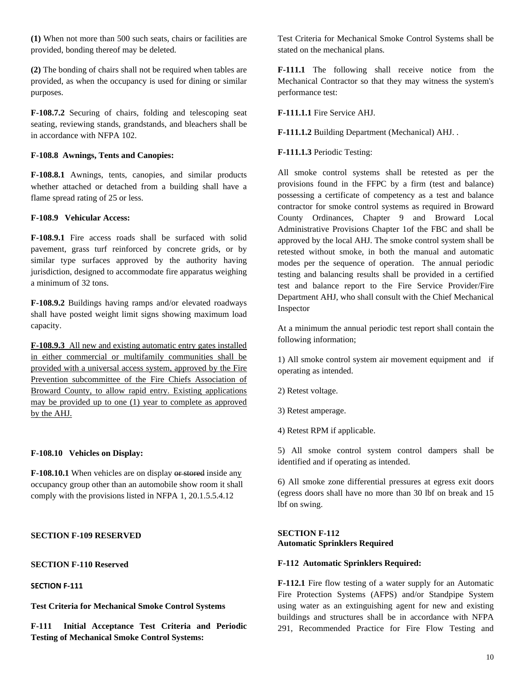**(1)** When not more than 500 such seats, chairs or facilities are provided, bonding thereof may be deleted.

**(2)** The bonding of chairs shall not be required when tables are provided, as when the occupancy is used for dining or similar purposes.

**F-108.7.2** Securing of chairs, folding and telescoping seat seating, reviewing stands, grandstands, and bleachers shall be in accordance with NFPA 102.

#### **F-108.8 Awnings, Tents and Canopies:**

**F-108.8.1** Awnings, tents, canopies, and similar products whether attached or detached from a building shall have a flame spread rating of 25 or less.

#### **F-108.9 Vehicular Access:**

**F-108.9.1** Fire access roads shall be surfaced with solid pavement, grass turf reinforced by concrete grids, or by similar type surfaces approved by the authority having jurisdiction, designed to accommodate fire apparatus weighing a minimum of 32 tons.

**F-108.9.2** Buildings having ramps and/or elevated roadways shall have posted weight limit signs showing maximum load capacity.

**F-108.9.3** All new and existing automatic entry gates installed in either commercial or multifamily communities shall be provided with a universal access system, approved by the Fire Prevention subcommittee of the Fire Chiefs Association of Broward County, to allow rapid entry. Existing applications may be provided up to one (1) year to complete as approved by the AHJ.

#### **F-108.10 Vehicles on Display:**

**F-108.10.1** When vehicles are on display or stored inside any occupancy group other than an automobile show room it shall comply with the provisions listed in NFPA 1, 20.1.5.5.4.12

#### **SECTION F-109 RESERVED**

**SECTION F-110 Reserved**

# **SECTION F-111**

**Test Criteria for Mechanical Smoke Control Systems**

**F-111 Initial Acceptance Test Criteria and Periodic Testing of Mechanical Smoke Control Systems:**

Test Criteria for Mechanical Smoke Control Systems shall be stated on the mechanical plans.

**F-111.1** The following shall receive notice from the Mechanical Contractor so that they may witness the system's performance test:

#### **F-111.1.1** Fire Service AHJ.

**F-111.1.2** Building Department (Mechanical) AHJ. .

#### **F-111.1.3** Periodic Testing:

All smoke control systems shall be retested as per the provisions found in the FFPC by a firm (test and balance) possessing a certificate of competency as a test and balance contractor for smoke control systems as required in Broward County Ordinances, Chapter 9 and Broward Local Administrative Provisions Chapter 1of the FBC and shall be approved by the local AHJ. The smoke control system shall be retested without smoke, in both the manual and automatic modes per the sequence of operation. The annual periodic testing and balancing results shall be provided in a certified test and balance report to the Fire Service Provider/Fire Department AHJ, who shall consult with the Chief Mechanical Inspector

At a minimum the annual periodic test report shall contain the following information;

1) All smoke control system air movement equipment and if operating as intended.

2) Retest voltage.

3) Retest amperage.

4) Retest RPM if applicable.

5) All smoke control system control dampers shall be identified and if operating as intended.

6) All smoke zone differential pressures at egress exit doors (egress doors shall have no more than 30 lbf on break and 15 lbf on swing.

#### **SECTION F-112 Automatic Sprinklers Required**

#### **F-112 Automatic Sprinklers Required:**

**F-112.1** Fire flow testing of a water supply for an Automatic Fire Protection Systems (AFPS) and/or Standpipe System using water as an extinguishing agent for new and existing buildings and structures shall be in accordance with NFPA 291, Recommended Practice for Fire Flow Testing and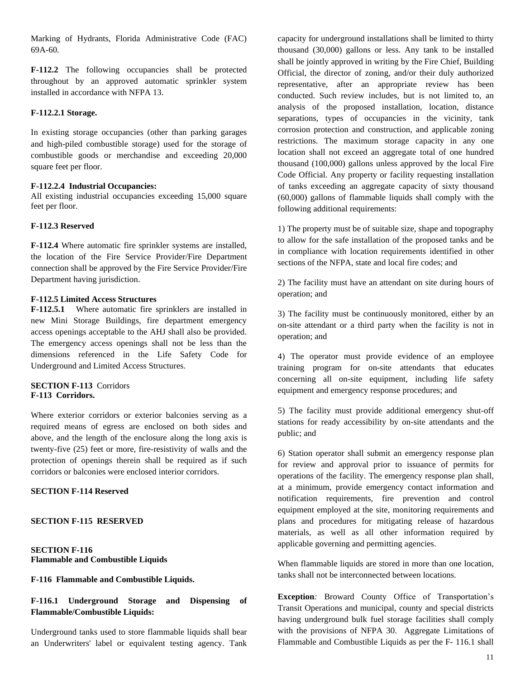Marking of Hydrants, Florida Administrative Code (FAC) 69A-60.

**F-112.2** The following occupancies shall be protected throughout by an approved automatic sprinkler system installed in accordance with NFPA 13.

#### **F-112.2.1 Storage.**

In existing storage occupancies (other than parking garages and high-piled combustible storage) used for the storage of combustible goods or merchandise and exceeding 20,000 square feet per floor.

#### **F-112.2.4 Industrial Occupancies:**

All existing industrial occupancies exceeding 15,000 square feet per floor.

#### **F-112.3 Reserved**

**F-112.4** Where automatic fire sprinkler systems are installed, the location of the Fire Service Provider/Fire Department connection shall be approved by the Fire Service Provider/Fire Department having jurisdiction.

#### **F-112.5 Limited Access Structures**

**F-112.5.1** Where automatic fire sprinklers are installed in new Mini Storage Buildings, fire department emergency access openings acceptable to the AHJ shall also be provided. The emergency access openings shall not be less than the dimensions referenced in the Life Safety Code for Underground and Limited Access Structures.

### **SECTION F-113** Corridors **F-113 Corridors.**

Where exterior corridors or exterior balconies serving as a required means of egress are enclosed on both sides and above, and the length of the enclosure along the long axis is twenty-five (25) feet or more, fire-resistivity of walls and the protection of openings therein shall be required as if such corridors or balconies were enclosed interior corridors.

# **SECTION F-114 Reserved**

### **SECTION F-115 RESERVED**

### **SECTION F-116 Flammable and Combustible Liquids**

**F-116 Flammable and Combustible Liquids.**

# **F-116.1 Underground Storage and Dispensing of Flammable/Combustible Liquids:**

Underground tanks used to store flammable liquids shall bear an Underwriters' label or equivalent testing agency. Tank

capacity for underground installations shall be limited to thirty thousand (30,000) gallons or less. Any tank to be installed shall be jointly approved in writing by the Fire Chief, Building Official, the director of zoning, and/or their duly authorized representative, after an appropriate review has been conducted. Such review includes, but is not limited to, an analysis of the proposed installation, location, distance separations, types of occupancies in the vicinity, tank corrosion protection and construction, and applicable zoning restrictions. The maximum storage capacity in any one location shall not exceed an aggregate total of one hundred thousand (100,000) gallons unless approved by the local Fire Code Official. Any property or facility requesting installation of tanks exceeding an aggregate capacity of sixty thousand (60,000) gallons of flammable liquids shall comply with the following additional requirements:

1) The property must be of suitable size, shape and topography to allow for the safe installation of the proposed tanks and be in compliance with location requirements identified in other sections of the NFPA, state and local fire codes; and

2) The facility must have an attendant on site during hours of operation; and

3) The facility must be continuously monitored, either by an on-site attendant or a third party when the facility is not in operation; and

4) The operator must provide evidence of an employee training program for on-site attendants that educates concerning all on-site equipment, including life safety equipment and emergency response procedures; and

5) The facility must provide additional emergency shut-off stations for ready accessibility by on-site attendants and the public; and

6) Station operator shall submit an emergency response plan for review and approval prior to issuance of permits for operations of the facility. The emergency response plan shall, at a minimum, provide emergency contact information and notification requirements, fire prevention and control equipment employed at the site, monitoring requirements and plans and procedures for mitigating release of hazardous materials, as well as all other information required by applicable governing and permitting agencies.

When flammable liquids are stored in more than one location, tanks shall not be interconnected between locations.

**Exception***:* Broward County Office of Transportation's Transit Operations and municipal, county and special districts having underground bulk fuel storage facilities shall comply with the provisions of NFPA 30. Aggregate Limitations of Flammable and Combustible Liquids as per the F- 116.1 shall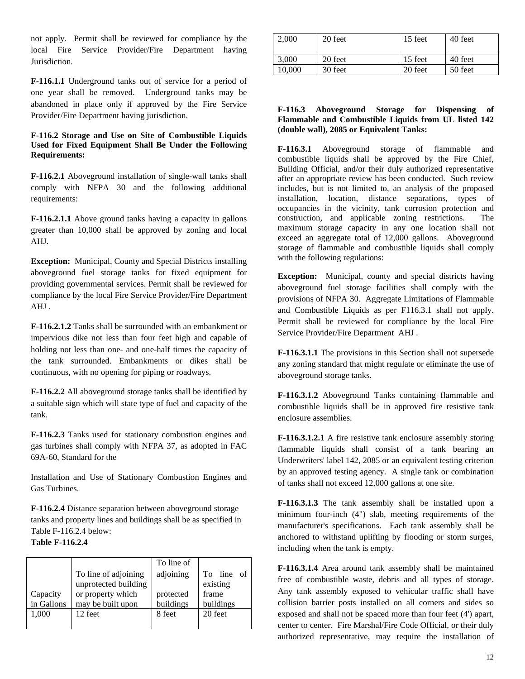not apply. Permit shall be reviewed for compliance by the local Fire Service Provider/Fire Department having Jurisdiction*.*

**F-116.1.1** Underground tanks out of service for a period of one year shall be removed. Underground tanks may be abandoned in place only if approved by the Fire Service Provider/Fire Department having jurisdiction.

#### **F-116.2 Storage and Use on Site of Combustible Liquids Used for Fixed Equipment Shall Be Under the Following Requirements:**

**F-116.2.1** Aboveground installation of single-wall tanks shall comply with NFPA 30 and the following additional requirements:

**F-116.2.1.1** Above ground tanks having a capacity in gallons greater than 10,000 shall be approved by zoning and local AHJ.

**Exception:** Municipal, County and Special Districts installing aboveground fuel storage tanks for fixed equipment for providing governmental services. Permit shall be reviewed for compliance by the local Fire Service Provider/Fire Department AHJ .

**F-116.2.1.2** Tanks shall be surrounded with an embankment or impervious dike not less than four feet high and capable of holding not less than one- and one-half times the capacity of the tank surrounded. Embankments or dikes shall be continuous, with no opening for piping or roadways.

**F-116.2.2** All aboveground storage tanks shall be identified by a suitable sign which will state type of fuel and capacity of the tank.

**F-116.2.3** Tanks used for stationary combustion engines and gas turbines shall comply with NFPA 37, as adopted in FAC 69A-60, Standard for the

Installation and Use of Stationary Combustion Engines and Gas Turbines.

**F-116.2.4** Distance separation between aboveground storage tanks and property lines and buildings shall be as specified in Table F-116.2.4 below:

### **Table F-116.2.4**

|            |                      | To line of |            |
|------------|----------------------|------------|------------|
|            | To line of adjoining | adjoining  | To line of |
|            | unprotected building |            | existing   |
| Capacity   | or property which    | protected  | frame      |
| in Gallons | may be built upon    | buildings  | buildings  |
| 1,000      | 12 feet              | 8 feet     | 20 feet    |
|            |                      |            |            |

| 2.000  | 20 feet | 15 feet | 40 feet |
|--------|---------|---------|---------|
| 3.000  | 20 feet | 15 feet | 40 feet |
| 10.000 | 30 feet | 20 feet | 50 feet |

### **F-116.3 Aboveground Storage for Dispensing of Flammable and Combustible Liquids from UL listed 142 (double wall), 2085 or Equivalent Tanks:**

**F-116.3.1** Aboveground storage of flammable and combustible liquids shall be approved by the Fire Chief, Building Official, and/or their duly authorized representative after an appropriate review has been conducted. Such review includes, but is not limited to, an analysis of the proposed installation, location, distance separations, types of occupancies in the vicinity, tank corrosion protection and construction, and applicable zoning restrictions. The maximum storage capacity in any one location shall not exceed an aggregate total of 12,000 gallons. Aboveground storage of flammable and combustible liquids shall comply with the following regulations:

**Exception:** Municipal, county and special districts having aboveground fuel storage facilities shall comply with the provisions of NFPA 30. Aggregate Limitations of Flammable and Combustible Liquids as per F116.3.1 shall not apply. Permit shall be reviewed for compliance by the local Fire Service Provider/Fire Department AHJ *.*

**F-116.3.1.1** The provisions in this Section shall not supersede any zoning standard that might regulate or eliminate the use of aboveground storage tanks.

**F-116.3.1.2** Aboveground Tanks containing flammable and combustible liquids shall be in approved fire resistive tank enclosure assemblies.

**F-116.3.1.2.1** A fire resistive tank enclosure assembly storing flammable liquids shall consist of a tank bearing an Underwriters' label 142, 2085 or an equivalent testing criterion by an approved testing agency. A single tank or combination of tanks shall not exceed 12,000 gallons at one site.

**F-116.3.1.3** The tank assembly shall be installed upon a minimum four-inch (4") slab, meeting requirements of the manufacturer's specifications. Each tank assembly shall be anchored to withstand uplifting by flooding or storm surges, including when the tank is empty.

**F-116.3.1.4** Area around tank assembly shall be maintained free of combustible waste, debris and all types of storage. Any tank assembly exposed to vehicular traffic shall have collision barrier posts installed on all corners and sides so exposed and shall not be spaced more than four feet (4') apart, center to center. Fire Marshal/Fire Code Official, or their duly authorized representative, may require the installation of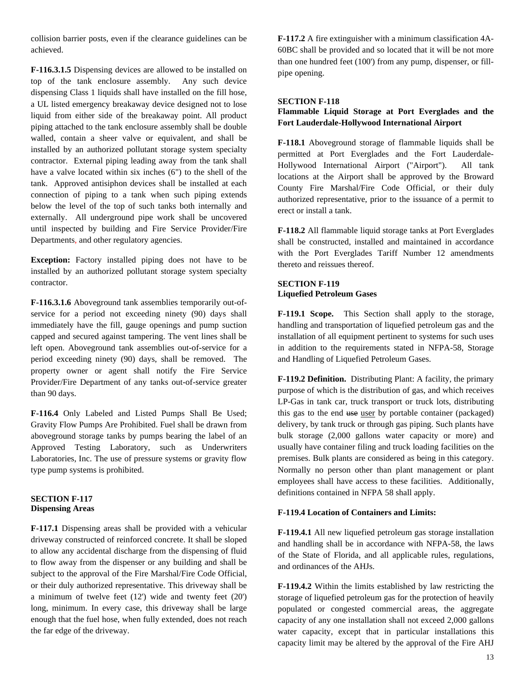collision barrier posts, even if the clearance guidelines can be achieved.

**F-116.3.1.5** Dispensing devices are allowed to be installed on top of the tank enclosure assembly. Any such device dispensing Class 1 liquids shall have installed on the fill hose, a UL listed emergency breakaway device designed not to lose liquid from either side of the breakaway point. All product piping attached to the tank enclosure assembly shall be double walled, contain a sheer valve or equivalent, and shall be installed by an authorized pollutant storage system specialty contractor. External piping leading away from the tank shall have a valve located within six inches (6") to the shell of the tank. Approved antisiphon devices shall be installed at each connection of piping to a tank when such piping extends below the level of the top of such tanks both internally and externally. All underground pipe work shall be uncovered until inspected by building and Fire Service Provider/Fire Departments, and other regulatory agencies.

**Exception:** Factory installed piping does not have to be installed by an authorized pollutant storage system specialty contractor.

**F-116.3.1.6** Aboveground tank assemblies temporarily out-ofservice for a period not exceeding ninety (90) days shall immediately have the fill, gauge openings and pump suction capped and secured against tampering. The vent lines shall be left open. Aboveground tank assemblies out-of-service for a period exceeding ninety (90) days, shall be removed. The property owner or agent shall notify the Fire Service Provider/Fire Department of any tanks out-of-service greater than 90 days.

**F-116.4** Only Labeled and Listed Pumps Shall Be Used; Gravity Flow Pumps Are Prohibited. Fuel shall be drawn from aboveground storage tanks by pumps bearing the label of an Approved Testing Laboratory, such as Underwriters Laboratories, Inc. The use of pressure systems or gravity flow type pump systems is prohibited.

#### **SECTION F-117 Dispensing Areas**

**F-117.1** Dispensing areas shall be provided with a vehicular driveway constructed of reinforced concrete. It shall be sloped to allow any accidental discharge from the dispensing of fluid to flow away from the dispenser or any building and shall be subject to the approval of the Fire Marshal/Fire Code Official, or their duly authorized representative. This driveway shall be a minimum of twelve feet (12') wide and twenty feet (20') long, minimum. In every case, this driveway shall be large enough that the fuel hose, when fully extended, does not reach the far edge of the driveway.

**F-117.2** A fire extinguisher with a minimum classification 4A-60BC shall be provided and so located that it will be not more than one hundred feet (100') from any pump, dispenser, or fillpipe opening.

### **SECTION F-118**

# **Flammable Liquid Storage at Port Everglades and the Fort Lauderdale-Hollywood International Airport**

**F-118.1** Aboveground storage of flammable liquids shall be permitted at Port Everglades and the Fort Lauderdale-Hollywood International Airport ("Airport"). All tank locations at the Airport shall be approved by the Broward County Fire Marshal/Fire Code Official, or their duly authorized representative, prior to the issuance of a permit to erect or install a tank.

**F-118.2** All flammable liquid storage tanks at Port Everglades shall be constructed, installed and maintained in accordance with the Port Everglades Tariff Number 12 amendments thereto and reissues thereof.

# **SECTION F-119 Liquefied Petroleum Gases**

**F-119.1 Scope.** This Section shall apply to the storage, handling and transportation of liquefied petroleum gas and the installation of all equipment pertinent to systems for such uses in addition to the requirements stated in NFPA-58, Storage and Handling of Liquefied Petroleum Gases.

**F-119.2 Definition.** Distributing Plant: A facility, the primary purpose of which is the distribution of gas, and which receives LP-Gas in tank car, truck transport or truck lots, distributing this gas to the end use user by portable container (packaged) delivery, by tank truck or through gas piping. Such plants have bulk storage (2,000 gallons water capacity or more) and usually have container filing and truck loading facilities on the premises. Bulk plants are considered as being in this category. Normally no person other than plant management or plant employees shall have access to these facilities. Additionally, definitions contained in NFPA 58 shall apply.

### **F-119.4 Location of Containers and Limits:**

**F-119.4.1** All new liquefied petroleum gas storage installation and handling shall be in accordance with NFPA-58, the laws of the State of Florida, and all applicable rules, regulations, and ordinances of the AHJs.

**F-119.4.2** Within the limits established by law restricting the storage of liquefied petroleum gas for the protection of heavily populated or congested commercial areas, the aggregate capacity of any one installation shall not exceed 2,000 gallons water capacity, except that in particular installations this capacity limit may be altered by the approval of the Fire AHJ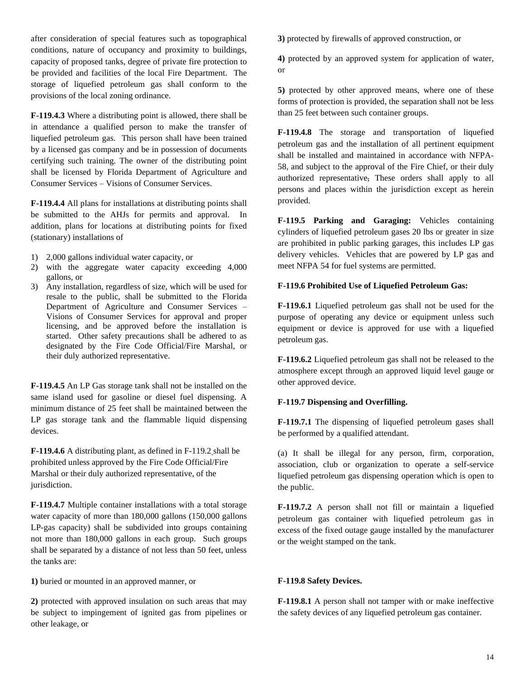after consideration of special features such as topographical conditions, nature of occupancy and proximity to buildings, capacity of proposed tanks, degree of private fire protection to be provided and facilities of the local Fire Department. The storage of liquefied petroleum gas shall conform to the provisions of the local zoning ordinance.

**F-119.4.3** Where a distributing point is allowed, there shall be in attendance a qualified person to make the transfer of liquefied petroleum gas. This person shall have been trained by a licensed gas company and be in possession of documents certifying such training. The owner of the distributing point shall be licensed by Florida Department of Agriculture and Consumer Services – Visions of Consumer Services.

**F-119.4.4** All plans for installations at distributing points shall be submitted to the AHJs for permits and approval. In addition, plans for locations at distributing points for fixed (stationary) installations of

- 1) 2,000 gallons individual water capacity, or
- 2) with the aggregate water capacity exceeding 4,000 gallons, or
- 3) Any installation, regardless of size, which will be used for resale to the public, shall be submitted to the Florida Department of Agriculture and Consumer Services – Visions of Consumer Services for approval and proper licensing, and be approved before the installation is started. Other safety precautions shall be adhered to as designated by the Fire Code Official/Fire Marshal, or their duly authorized representative.

**F-119.4.5** An LP Gas storage tank shall not be installed on the same island used for gasoline or diesel fuel dispensing. A minimum distance of 25 feet shall be maintained between the LP gas storage tank and the flammable liquid dispensing devices.

**F-119.4.6** A distributing plant, as defined in F-119.2 shall be prohibited unless approved by the Fire Code Official/Fire Marshal or their duly authorized representative, of the jurisdiction.

**F-119.4.7** Multiple container installations with a total storage water capacity of more than 180,000 gallons (150,000 gallons LP-gas capacity) shall be subdivided into groups containing not more than 180,000 gallons in each group. Such groups shall be separated by a distance of not less than 50 feet, unless the tanks are:

**1)** buried or mounted in an approved manner, or

**2)** protected with approved insulation on such areas that may be subject to impingement of ignited gas from pipelines or other leakage, or

**3)** protected by firewalls of approved construction, or

**4)** protected by an approved system for application of water, or

**5)** protected by other approved means, where one of these forms of protection is provided, the separation shall not be less than 25 feet between such container groups.

**F-119.4.8** The storage and transportation of liquefied petroleum gas and the installation of all pertinent equipment shall be installed and maintained in accordance with NFPA-58, and subject to the approval of the Fire Chief, or their duly authorized representative, These orders shall apply to all persons and places within the jurisdiction except as herein provided.

**F-119.5 Parking and Garaging:** Vehicles containing cylinders of liquefied petroleum gases 20 lbs or greater in size are prohibited in public parking garages, this includes LP gas delivery vehicles. Vehicles that are powered by LP gas and meet NFPA 54 for fuel systems are permitted.

# **F-119.6 Prohibited Use of Liquefied Petroleum Gas:**

**F-119.6.1** Liquefied petroleum gas shall not be used for the purpose of operating any device or equipment unless such equipment or device is approved for use with a liquefied petroleum gas.

**F-119.6.2** Liquefied petroleum gas shall not be released to the atmosphere except through an approved liquid level gauge or other approved device.

# **F-119.7 Dispensing and Overfilling.**

**F-119.7.1** The dispensing of liquefied petroleum gases shall be performed by a qualified attendant.

(a) It shall be illegal for any person, firm, corporation, association, club or organization to operate a self-service liquefied petroleum gas dispensing operation which is open to the public.

**F-119.7.2** A person shall not fill or maintain a liquefied petroleum gas container with liquefied petroleum gas in excess of the fixed outage gauge installed by the manufacturer or the weight stamped on the tank.

### **F-119.8 Safety Devices.**

**F-119.8.1** A person shall not tamper with or make ineffective the safety devices of any liquefied petroleum gas container.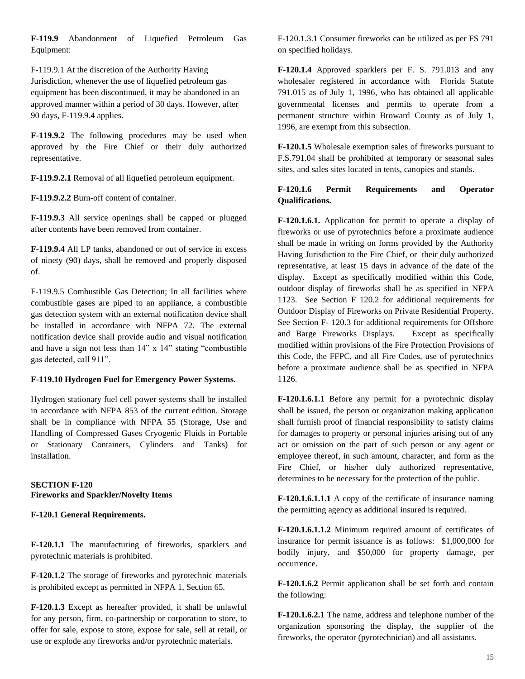**F-119.9** Abandonment of Liquefied Petroleum Gas Equipment:

F-119.9.1 At the discretion of the Authority Having Jurisdiction, whenever the use of liquefied petroleum gas equipment has been discontinued, it may be abandoned in an approved manner within a period of 30 days. However, after 90 days, F-119.9.4 applies.

**F-119.9.2** The following procedures may be used when approved by the Fire Chief or their duly authorized representative.

**F-119.9.2.1** Removal of all liquefied petroleum equipment.

**F-119.9.2.2** Burn-off content of container.

**F-119.9.3** All service openings shall be capped or plugged after contents have been removed from container.

**F-119.9.4** All LP tanks, abandoned or out of service in excess of ninety (90) days, shall be removed and properly disposed of.

F-119.9.5 Combustible Gas Detection; In all facilities where combustible gases are piped to an appliance, a combustible gas detection system with an external notification device shall be installed in accordance with NFPA 72. The external notification device shall provide audio and visual notification and have a sign not less than 14" x 14" stating "combustible gas detected, call 911".

### **F-119.10 Hydrogen Fuel for Emergency Power Systems.**

Hydrogen stationary fuel cell power systems shall be installed in accordance with NFPA 853 of the current edition. Storage shall be in compliance with NFPA 55 (Storage, Use and Handling of Compressed Gases Cryogenic Fluids in Portable or Stationary Containers, Cylinders and Tanks) for installation.

### **SECTION F-120 Fireworks and Sparkler/Novelty Items**

### **F-120.1 General Requirements.**

**F-120.1.1** The manufacturing of fireworks, sparklers and pyrotechnic materials is prohibited.

**F-120.1.2** The storage of fireworks and pyrotechnic materials is prohibited except as permitted in NFPA 1, Section 65.

**F-120.1.3** Except as hereafter provided, it shall be unlawful for any person, firm, co-partnership or corporation to store, to offer for sale, expose to store, expose for sale, sell at retail, or use or explode any fireworks and/or pyrotechnic materials.

F-120.1.3.1 Consumer fireworks can be utilized as per FS 791 on specified holidays.

**F-120.1.4** Approved sparklers per F. S. 791.013 and any wholesaler registered in accordance with Florida Statute 791.015 as of July 1, 1996, who has obtained all applicable governmental licenses and permits to operate from a permanent structure within Broward County as of July 1, 1996, are exempt from this subsection.

**F-120.1.5** Wholesale exemption sales of fireworks pursuant to F.S.791.04 shall be prohibited at temporary or seasonal sales sites, and sales sites located in tents, canopies and stands.

# **F-120.1.6 Permit Requirements and Operator Qualifications.**

**F-120.1.6.1.** Application for permit to operate a display of fireworks or use of pyrotechnics before a proximate audience shall be made in writing on forms provided by the Authority Having Jurisdiction to the Fire Chief, or their duly authorized representative, at least 15 days in advance of the date of the display. Except as specifically modified within this Code, outdoor display of fireworks shall be as specified in NFPA 1123. See Section F 120.2 for additional requirements for Outdoor Display of Fireworks on Private Residential Property. See Section F- 120.3 for additional requirements for Offshore and Barge Fireworks Displays. Except as specifically modified within provisions of the Fire Protection Provisions of this Code, the FFPC, and all Fire Codes, use of pyrotechnics before a proximate audience shall be as specified in NFPA 1126.

**F-120.1.6.1.1** Before any permit for a pyrotechnic display shall be issued, the person or organization making application shall furnish proof of financial responsibility to satisfy claims for damages to property or personal injuries arising out of any act or omission on the part of such person or any agent or employee thereof, in such amount, character, and form as the Fire Chief, or his/her duly authorized representative, determines to be necessary for the protection of the public.

**F-120.1.6.1.1.1** A copy of the certificate of insurance naming the permitting agency as additional insured is required.

**F-120.1.6.1.1.2** Minimum required amount of certificates of insurance for permit issuance is as follows: \$1,000,000 for bodily injury, and \$50,000 for property damage, per occurrence.

**F-120.1.6.2** Permit application shall be set forth and contain the following:

**F-120.1.6.2.1** The name, address and telephone number of the organization sponsoring the display, the supplier of the fireworks, the operator (pyrotechnician) and all assistants.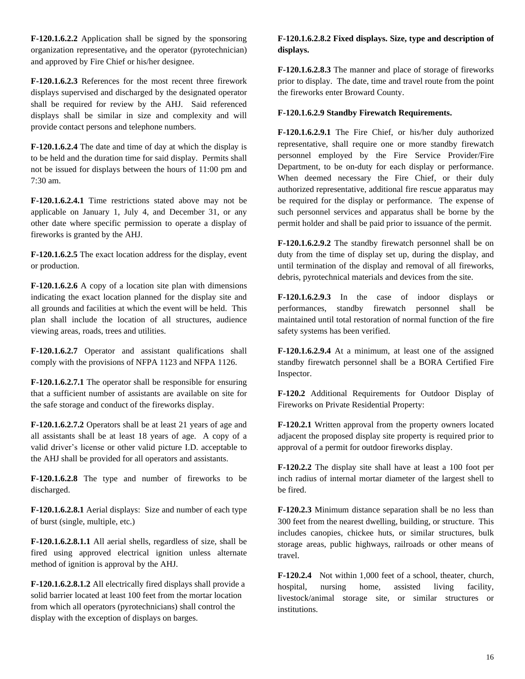**F-120.1.6.2.2** Application shall be signed by the sponsoring organization representative, and the operator (pyrotechnician) and approved by Fire Chief or his/her designee.

**F-120.1.6.2.3** References for the most recent three firework displays supervised and discharged by the designated operator shall be required for review by the AHJ. Said referenced displays shall be similar in size and complexity and will provide contact persons and telephone numbers.

**F-120.1.6.2.4** The date and time of day at which the display is to be held and the duration time for said display. Permits shall not be issued for displays between the hours of 11:00 pm and 7:30 am.

**F-120.1.6.2.4.1** Time restrictions stated above may not be applicable on January 1, July 4, and December 31, or any other date where specific permission to operate a display of fireworks is granted by the AHJ.

**F-120.1.6.2.5** The exact location address for the display, event or production.

**F-120.1.6.2.6** A copy of a location site plan with dimensions indicating the exact location planned for the display site and all grounds and facilities at which the event will be held. This plan shall include the location of all structures, audience viewing areas, roads, trees and utilities.

**F-120.1.6.2.7** Operator and assistant qualifications shall comply with the provisions of NFPA 1123 and NFPA 1126.

**F-120.1.6.2.7.1** The operator shall be responsible for ensuring that a sufficient number of assistants are available on site for the safe storage and conduct of the fireworks display.

**F-120.1.6.2.7.2** Operators shall be at least 21 years of age and all assistants shall be at least 18 years of age. A copy of a valid driver's license or other valid picture I.D. acceptable to the AHJ shall be provided for all operators and assistants.

**F-120.1.6.2.8** The type and number of fireworks to be discharged.

**F-120.1.6.2.8.1** Aerial displays: Size and number of each type of burst (single, multiple, etc.)

**F-120.1.6.2.8.1.1** All aerial shells, regardless of size, shall be fired using approved electrical ignition unless alternate method of ignition is approval by the AHJ.

**F-120.1.6.2.8.1.2** All electrically fired displays shall provide a solid barrier located at least 100 feet from the mortar location from which all operators (pyrotechnicians) shall control the display with the exception of displays on barges.

# **F-120.1.6.2.8.2 Fixed displays. Size, type and description of displays.**

**F-120.1.6.2.8.3** The manner and place of storage of fireworks prior to display. The date, time and travel route from the point the fireworks enter Broward County.

### **F-120.1.6.2.9 Standby Firewatch Requirements.**

**F-120.1.6.2.9.1** The Fire Chief, or his/her duly authorized representative, shall require one or more standby firewatch personnel employed by the Fire Service Provider/Fire Department, to be on-duty for each display or performance. When deemed necessary the Fire Chief, or their duly authorized representative, additional fire rescue apparatus may be required for the display or performance. The expense of such personnel services and apparatus shall be borne by the permit holder and shall be paid prior to issuance of the permit.

**F-120.1.6.2.9.2** The standby firewatch personnel shall be on duty from the time of display set up, during the display, and until termination of the display and removal of all fireworks, debris, pyrotechnical materials and devices from the site.

**F-120.1.6.2.9.3** In the case of indoor displays or performances, standby firewatch personnel shall be maintained until total restoration of normal function of the fire safety systems has been verified.

**F-120.1.6.2.9.4** At a minimum, at least one of the assigned standby firewatch personnel shall be a BORA Certified Fire Inspector.

**F-120.2** Additional Requirements for Outdoor Display of Fireworks on Private Residential Property:

**F-120.2.1** Written approval from the property owners located adjacent the proposed display site property is required prior to approval of a permit for outdoor fireworks display.

**F-120.2.2** The display site shall have at least a 100 foot per inch radius of internal mortar diameter of the largest shell to be fired.

**F-120.2.3** Minimum distance separation shall be no less than 300 feet from the nearest dwelling, building, or structure. This includes canopies, chickee huts, or similar structures, bulk storage areas, public highways, railroads or other means of travel.

**F-120.2.4** Not within 1,000 feet of a school, theater, church, hospital, nursing home, assisted living facility, livestock/animal storage site, or similar structures or institutions.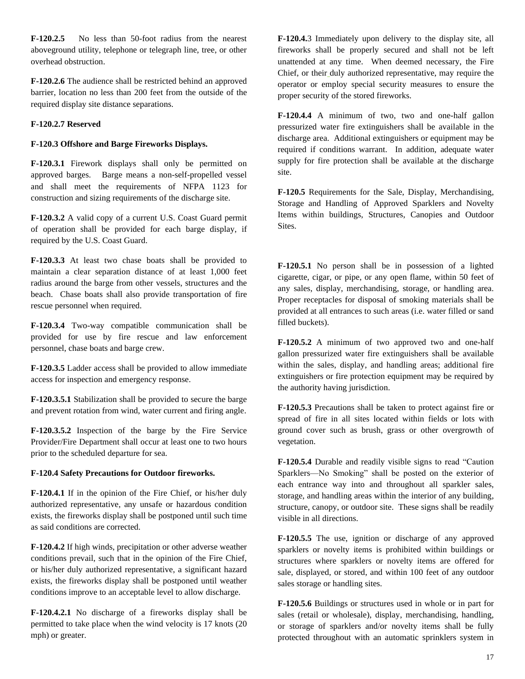**F-120.2.5** No less than 50-foot radius from the nearest aboveground utility, telephone or telegraph line, tree, or other overhead obstruction.

**F-120.2.6** The audience shall be restricted behind an approved barrier, location no less than 200 feet from the outside of the required display site distance separations.

#### **F-120.2.7 Reserved**

#### **F-120.3 Offshore and Barge Fireworks Displays.**

**F-120.3.1** Firework displays shall only be permitted on approved barges. Barge means a non-self-propelled vessel and shall meet the requirements of NFPA 1123 for construction and sizing requirements of the discharge site.

**F-120.3.2** A valid copy of a current U.S. Coast Guard permit of operation shall be provided for each barge display, if required by the U.S. Coast Guard.

**F-120.3.3** At least two chase boats shall be provided to maintain a clear separation distance of at least 1,000 feet radius around the barge from other vessels, structures and the beach. Chase boats shall also provide transportation of fire rescue personnel when required.

**F-120.3.4** Two-way compatible communication shall be provided for use by fire rescue and law enforcement personnel, chase boats and barge crew.

**F-120.3.5** Ladder access shall be provided to allow immediate access for inspection and emergency response.

**F-120.3.5.1** Stabilization shall be provided to secure the barge and prevent rotation from wind, water current and firing angle.

**F-120.3.5.2** Inspection of the barge by the Fire Service Provider/Fire Department shall occur at least one to two hours prior to the scheduled departure for sea.

#### **F-120.4 Safety Precautions for Outdoor fireworks.**

**F-120.4.1** If in the opinion of the Fire Chief, or his/her duly authorized representative, any unsafe or hazardous condition exists, the fireworks display shall be postponed until such time as said conditions are corrected.

**F-120.4.2** If high winds, precipitation or other adverse weather conditions prevail, such that in the opinion of the Fire Chief, or his/her duly authorized representative, a significant hazard exists, the fireworks display shall be postponed until weather conditions improve to an acceptable level to allow discharge.

**F-120.4.2.1** No discharge of a fireworks display shall be permitted to take place when the wind velocity is 17 knots (20 mph) or greater.

**F-120.4.**3 Immediately upon delivery to the display site, all fireworks shall be properly secured and shall not be left unattended at any time. When deemed necessary, the Fire Chief, or their duly authorized representative, may require the operator or employ special security measures to ensure the proper security of the stored fireworks.

**F-120.4.4** A minimum of two, two and one-half gallon pressurized water fire extinguishers shall be available in the discharge area. Additional extinguishers or equipment may be required if conditions warrant. In addition, adequate water supply for fire protection shall be available at the discharge site.

**F-120.5** Requirements for the Sale, Display, Merchandising, Storage and Handling of Approved Sparklers and Novelty Items within buildings, Structures, Canopies and Outdoor Sites.

**F-120.5.1** No person shall be in possession of a lighted cigarette, cigar, or pipe, or any open flame, within 50 feet of any sales, display, merchandising, storage, or handling area. Proper receptacles for disposal of smoking materials shall be provided at all entrances to such areas (i.e. water filled or sand filled buckets).

**F-120.5.2** A minimum of two approved two and one-half gallon pressurized water fire extinguishers shall be available within the sales, display, and handling areas; additional fire extinguishers or fire protection equipment may be required by the authority having jurisdiction.

**F-120.5.3** Precautions shall be taken to protect against fire or spread of fire in all sites located within fields or lots with ground cover such as brush, grass or other overgrowth of vegetation.

**F-120.5.4** Durable and readily visible signs to read "Caution Sparklers—No Smoking" shall be posted on the exterior of each entrance way into and throughout all sparkler sales, storage, and handling areas within the interior of any building, structure, canopy, or outdoor site. These signs shall be readily visible in all directions.

**F-120.5.5** The use, ignition or discharge of any approved sparklers or novelty items is prohibited within buildings or structures where sparklers or novelty items are offered for sale, displayed, or stored, and within 100 feet of any outdoor sales storage or handling sites.

**F-120.5.6** Buildings or structures used in whole or in part for sales (retail or wholesale), display, merchandising, handling, or storage of sparklers and/or novelty items shall be fully protected throughout with an automatic sprinklers system in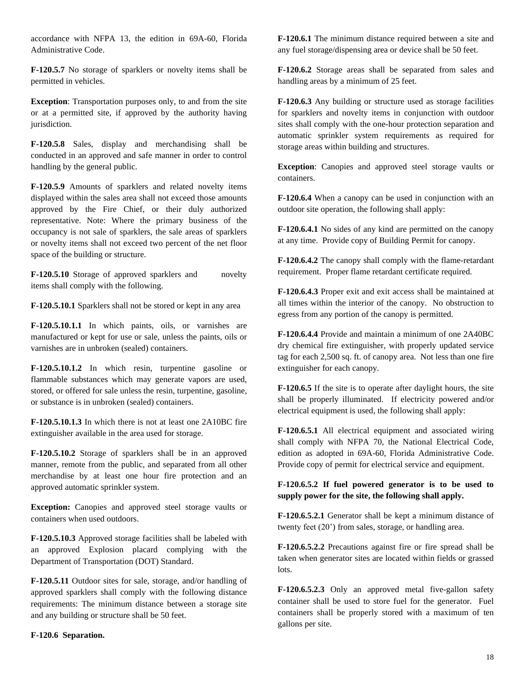accordance with NFPA 13, the edition in 69A-60, Florida Administrative Code.

**F-120.5.7** No storage of sparklers or novelty items shall be permitted in vehicles.

**Exception**: Transportation purposes only, to and from the site or at a permitted site, if approved by the authority having jurisdiction*.*

**F-120.5.8** Sales, display and merchandising shall be conducted in an approved and safe manner in order to control handling by the general public.

**F-120.5.9** Amounts of sparklers and related novelty items displayed within the sales area shall not exceed those amounts approved by the Fire Chief, or their duly authorized representative. Note: Where the primary business of the occupancy is not sale of sparklers, the sale areas of sparklers or novelty items shall not exceed two percent of the net floor space of the building or structure.

**F-120.5.10** Storage of approved sparklers and novelty items shall comply with the following.

**F-120.5.10.1** Sparklers shall not be stored or kept in any area

**F-120.5.10.1.1** In which paints, oils, or varnishes are manufactured or kept for use or sale, unless the paints, oils or varnishes are in unbroken (sealed) containers.

**F-120.5.10.1.2** In which resin, turpentine gasoline or flammable substances which may generate vapors are used, stored, or offered for sale unless the resin, turpentine, gasoline, or substance is in unbroken (sealed) containers.

**F-120.5.10.1.3** In which there is not at least one 2A10BC fire extinguisher available in the area used for storage.

**F-120.5.10.2** Storage of sparklers shall be in an approved manner, remote from the public, and separated from all other merchandise by at least one hour fire protection and an approved automatic sprinkler system.

**Exception:** Canopies and approved steel storage vaults or containers when used outdoors.

**F-120.5.10.3** Approved storage facilities shall be labeled with an approved Explosion placard complying with the Department of Transportation (DOT) Standard.

**F-120.5.11** Outdoor sites for sale, storage, and/or handling of approved sparklers shall comply with the following distance requirements: The minimum distance between a storage site and any building or structure shall be 50 feet.

**F-120.6 Separation.**

**F-120.6.1** The minimum distance required between a site and any fuel storage/dispensing area or device shall be 50 feet.

**F-120.6.2** Storage areas shall be separated from sales and handling areas by a minimum of 25 feet.

**F-120.6.3** Any building or structure used as storage facilities for sparklers and novelty items in conjunction with outdoor sites shall comply with the one-hour protection separation and automatic sprinkler system requirements as required for storage areas within building and structures.

**Exception**: Canopies and approved steel storage vaults or containers.

**F-120.6.4** When a canopy can be used in conjunction with an outdoor site operation, the following shall apply:

**F-120.6.4.1** No sides of any kind are permitted on the canopy at any time. Provide copy of Building Permit for canopy.

**F-120.6.4.2** The canopy shall comply with the flame-retardant requirement. Proper flame retardant certificate required.

**F-120.6.4.3** Proper exit and exit access shall be maintained at all times within the interior of the canopy. No obstruction to egress from any portion of the canopy is permitted.

**F-120.6.4.4** Provide and maintain a minimum of one 2A40BC dry chemical fire extinguisher, with properly updated service tag for each 2,500 sq. ft. of canopy area. Not less than one fire extinguisher for each canopy.

**F-120.6.5** If the site is to operate after daylight hours, the site shall be properly illuminated. If electricity powered and/or electrical equipment is used, the following shall apply:

**F-120.6.5.1** All electrical equipment and associated wiring shall comply with NFPA 70, the National Electrical Code, edition as adopted in 69A-60, Florida Administrative Code. Provide copy of permit for electrical service and equipment.

**F-120.6.5.2 If fuel powered generator is to be used to supply power for the site, the following shall apply.**

**F-120.6.5.2.1** Generator shall be kept a minimum distance of twenty feet (20') from sales, storage, or handling area.

**F-120.6.5.2.2** Precautions against fire or fire spread shall be taken when generator sites are located within fields or grassed lots.

**F-120.6.5.2.3** Only an approved metal five-gallon safety container shall be used to store fuel for the generator. Fuel containers shall be properly stored with a maximum of ten gallons per site.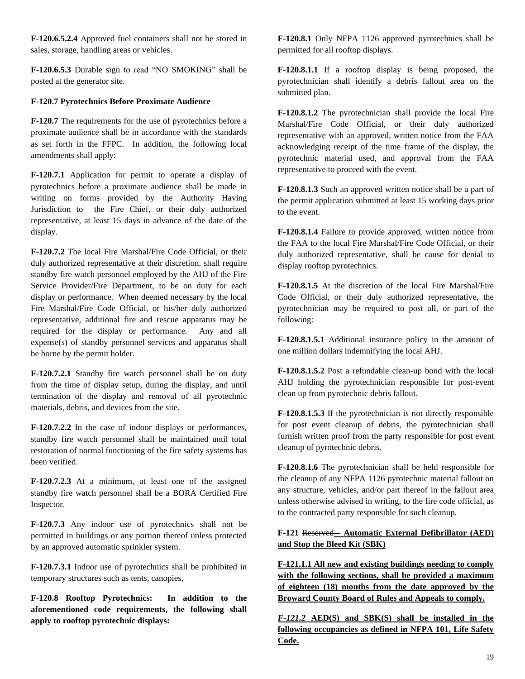**F-120.6.5.2.4** Approved fuel containers shall not be stored in sales, storage, handling areas or vehicles.

**F-120.6.5.3** Durable sign to read "NO SMOKING" shall be posted at the generator site.

### **F-120.7 Pyrotechnics Before Proximate Audience**

**F-120.7** The requirements for the use of pyrotechnics before a proximate audience shall be in accordance with the standards as set forth in the FFPC. In addition, the following local amendments shall apply:

**F-120.7.1** Application for permit to operate a display of pyrotechnics before a proximate audience shall be made in writing on forms provided by the Authority Having Jurisdiction to the Fire Chief, or their duly authorized representative, at least 15 days in advance of the date of the display.

**F-120.7.2** The local Fire Marshal/Fire Code Official, or their duly authorized representative at their discretion, shall require standby fire watch personnel employed by the AHJ of the Fire Service Provider/Fire Department, to be on duty for each display or performance. When deemed necessary by the local Fire Marshal/Fire Code Official, or his/her duly authorized representative, additional fire and rescue apparatus may be required for the display or performance. Any and all expense(s) of standby personnel services and apparatus shall be borne by the permit holder.

**F-120.7.2.1** Standby fire watch personnel shall be on duty from the time of display setup, during the display, and until termination of the display and removal of all pyrotechnic materials, debris, and devices from the site.

**F-120.7.2.2** In the case of indoor displays or performances, standby fire watch personnel shall be maintained until total restoration of normal functioning of the fire safety systems has been verified.

**F-120.7.2.3** At a minimum, at least one of the assigned standby fire watch personnel shall be a BORA Certified Fire Inspector.

**F-120.7.3** Any indoor use of pyrotechnics shall not be permitted in buildings or any portion thereof unless protected by an approved automatic sprinkler system.

**F-120.7.3.1** Indoor use of pyrotechnics shall be prohibited in temporary structures such as tents, canopies,

**F-120.8 Rooftop Pyrotechnics: In addition to the aforementioned code requirements, the following shall apply to rooftop pyrotechnic displays:**

**F-120.8.1** Only NFPA 1126 approved pyrotechnics shall be permitted for all rooftop displays.

**F-120.8.1.1** If a rooftop display is being proposed, the pyrotechnician shall identify a debris fallout area on the submitted plan.

**F-120.8.1.2** The pyrotechnician shall provide the local Fire Marshal/Fire Code Official, or their duly authorized representative with an approved, written notice from the FAA acknowledging receipt of the time frame of the display, the pyrotechnic material used, and approval from the FAA representative to proceed with the event.

**F-120.8.1.3** Such an approved written notice shall be a part of the permit application submitted at least 15 working days prior to the event.

**F-120.8.1.4** Failure to provide approved, written notice from the FAA to the local Fire Marshal/Fire Code Official, or their duly authorized representative, shall be cause for denial to display rooftop pyrotechnics.

**F-120.8.1.5** At the discretion of the local Fire Marshal/Fire Code Official, or their duly authorized representative, the pyrotechnician may be required to post all, or part of the following:

**F-120.8.1.5.1** Additional insurance policy in the amount of one million dollars indemnifying the local AHJ.

**F-120.8.1.5.2** Post a refundable clean-up bond with the local AHJ holding the pyrotechnician responsible for post-event clean up from pyrotechnic debris fallout.

**F-120.8.1.5.3** If the pyrotechnician is not directly responsible for post event cleanup of debris, the pyrotechnician shall furnish written proof from the party responsible for post event cleanup of pyrotechnic debris.

**F-120.8.1.6** The pyrotechnician shall be held responsible for the cleanup of any NFPA 1126 pyrotechnic material fallout on any structure, vehicles, and/or part thereof in the fallout area unless otherwise advised in writing, to the fire code official, as to the contracted party responsible for such cleanup.

# **F-121** Reserved **Automatic External Defibrillator (AED) and Stop the Bleed Kit (SBK)**

**F-121.1.1 All new and existing buildings needing to comply with the following sections, shall be provided a maximum of eighteen (18) months from the date approved by the Broward County Board of Rules and Appeals to comply.**

*F-121.2* **AED(S) and SBK(S) shall be installed in the following occupancies as defined in NFPA 101, Life Safety Code.**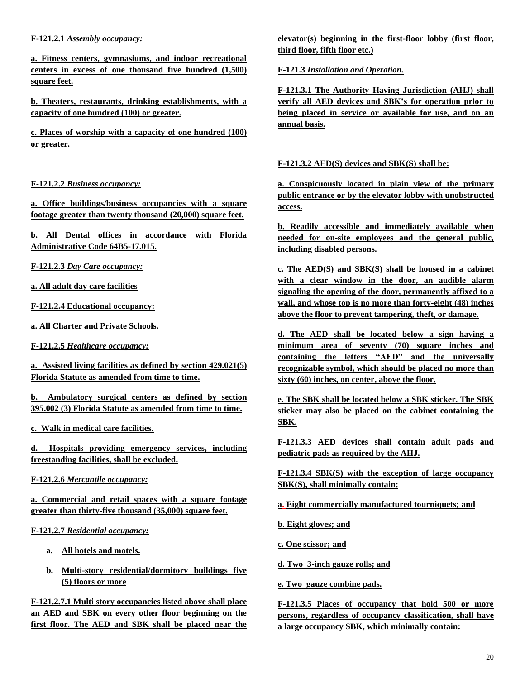## **F-121.2.1** *Assembly occupancy:*

**a. Fitness centers, gymnasiums, and indoor recreational centers in excess of one thousand five hundred (1,500) square feet.**

**b. Theaters, restaurants, drinking establishments, with a capacity of one hundred (100) or greater.**

**c. Places of worship with a capacity of one hundred (100) or greater.**

# **F-121.2.2** *Business occupancy:*

**a. Office buildings/business occupancies with a square footage greater than twenty thousand (20,000) square feet.**

**b. All Dental offices in accordance with Florida Administrative Code 64B5-17.015.**

**F-121.2.3** *Day Care occupancy:*

**a. All adult day care facilities**

**F-121.2.4 Educational occupancy:**

**a. All Charter and Private Schools.**

**F-121.2.5** *Healthcare occupancy:*

**a. Assisted living facilities as defined by section 429.021(5) Florida Statute as amended from time to time.**

**b. Ambulatory surgical centers as defined by section 395.002 (3) Florida Statute as amended from time to time.**

**c. Walk in medical care facilities.**

**d. Hospitals providing emergency services, including freestanding facilities, shall be excluded.**

**F-121.2.6** *Mercantile occupancy:*

**a. Commercial and retail spaces with a square footage greater than thirty-five thousand (35,000) square feet.**

**F-121.2.7** *Residential occupancy:*

- **a. All hotels and motels.**
- **b. Multi-story residential/dormitory buildings five (5) floors or more**

**F-121.2.7.1 Multi story occupancies listed above shall place an AED and SBK on every other floor beginning on the first floor. The AED and SBK shall be placed near the**  **elevator(s) beginning in the first-floor lobby (first floor, third floor, fifth floor etc.)**

**F-121.3** *Installation and Operation.*

**F-121.3.1 The Authority Having Jurisdiction (AHJ) shall verify all AED devices and SBK's for operation prior to being placed in service or available for use, and on an annual basis.**

### **F-121.3.2 AED(S) devices and SBK(S) shall be:**

**a. Conspicuously located in plain view of the primary public entrance or by the elevator lobby with unobstructed access.**

**b. Readily accessible and immediately available when needed for on-site employees and the general public, including disabled persons.**

**c. The AED(S) and SBK(S) shall be housed in a cabinet with a clear window in the door, an audible alarm signaling the opening of the door, permanently affixed to a wall, and whose top is no more than forty-eight (48) inches above the floor to prevent tampering, theft, or damage.**

**d. The AED shall be located below a sign having a minimum area of seventy (70) square inches and containing the letters "AED" and the universally recognizable symbol, which should be placed no more than sixty (60) inches, on center, above the floor.** 

**e. The SBK shall be located below a SBK sticker. The SBK sticker may also be placed on the cabinet containing the SBK.**

**F-121.3.3 AED devices shall contain adult pads and pediatric pads as required by the AHJ.**

**F-121.3.4 SBK(S) with the exception of large occupancy SBK(S), shall minimally contain:**

**a. Eight commercially manufactured tourniquets; and** 

**b. Eight gloves; and** 

**c. One scissor; and**

**d. Two 3-inch gauze rolls; and** 

**e. Two gauze combine pads.**

**F-121.3.5 Places of occupancy that hold 500 or more persons, regardless of occupancy classification, shall have a large occupancy SBK, which minimally contain:**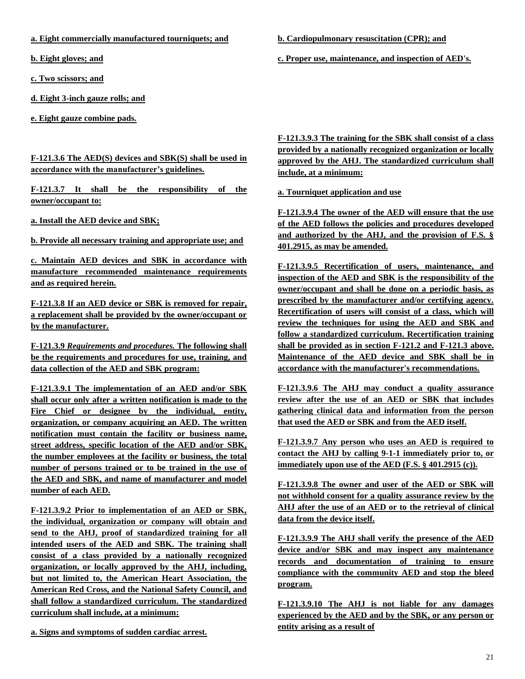**a. Eight commercially manufactured tourniquets; and** 

**b. Eight gloves; and** 

**c. Two scissors; and**

**d. Eight 3-inch gauze rolls; and** 

**e. Eight gauze combine pads.**

**F-121.3.6 The AED(S) devices and SBK(S) shall be used in accordance with the manufacturer's guidelines.**

**F-121.3.7 It shall be the responsibility of the owner/occupant to:**

**a. Install the AED device and SBK;**

**b. Provide all necessary training and appropriate use; and**

**c. Maintain AED devices and SBK in accordance with manufacture recommended maintenance requirements and as required herein.**

**F-121.3.8 If an AED device or SBK is removed for repair, a replacement shall be provided by the owner/occupant or by the manufacturer.** 

**F-121.3.9** *Requirements and procedures.* **The following shall be the requirements and procedures for use, training, and data collection of the AED and SBK program:** 

**F-121.3.9.1 The implementation of an AED and/or SBK shall occur only after a written notification is made to the Fire Chief or designee by the individual, entity, organization, or company acquiring an AED. The written notification must contain the facility or business name, street address, specific location of the AED and/or SBK, the number employees at the facility or business, the total number of persons trained or to be trained in the use of the AED and SBK, and name of manufacturer and model number of each AED.** 

**F-121.3.9.2 Prior to implementation of an AED or SBK, the individual, organization or company will obtain and send to the AHJ, proof of standardized training for all intended users of the AED and SBK. The training shall consist of a class provided by a nationally recognized organization, or locally approved by the AHJ, including, but not limited to, the American Heart Association, the American Red Cross, and the National Safety Council, and shall follow a standardized curriculum. The standardized curriculum shall include, at a minimum:** 

**b. Cardiopulmonary resuscitation (CPR); and** 

**c. Proper use, maintenance, and inspection of AED's.** 

**F-121.3.9.3 The training for the SBK shall consist of a class provided by a nationally recognized organization or locally approved by the AHJ. The standardized curriculum shall include, at a minimum:**

**a. Tourniquet application and use**

**F-121.3.9.4 The owner of the AED will ensure that the use of the AED follows the policies and procedures developed and authorized by the AHJ, and the provision of F.S. § 401.2915, as may be amended.** 

**F-121.3.9.5 Recertification of users, maintenance, and inspection of the AED and SBK is the responsibility of the owner/occupant and shall be done on a periodic basis, as prescribed by the manufacturer and/or certifying agency. Recertification of users will consist of a class, which will review the techniques for using the AED and SBK and follow a standardized curriculum. Recertification training shall be provided as in section F-121.2 and F-121.3 above. Maintenance of the AED device and SBK shall be in accordance with the manufacturer's recommendations.** 

**F-121.3.9.6 The AHJ may conduct a quality assurance review after the use of an AED or SBK that includes gathering clinical data and information from the person that used the AED or SBK and from the AED itself.** 

**F-121.3.9.7 Any person who uses an AED is required to contact the AHJ by calling 9-1-1 immediately prior to, or immediately upon use of the AED (F.S. § 401.2915 (c)).** 

**F-121.3.9.8 The owner and user of the AED or SBK will not withhold consent for a quality assurance review by the AHJ after the use of an AED or to the retrieval of clinical data from the device itself.** 

**F-121.3.9.9 The AHJ shall verify the presence of the AED device and/or SBK and may inspect any maintenance records and documentation of training to ensure compliance with the community AED and stop the bleed program.**

**F-121.3.9.10 The AHJ is not liable for any damages experienced by the AED and by the SBK, or any person or entity arising as a result of** 

**a. Signs and symptoms of sudden cardiac arrest.**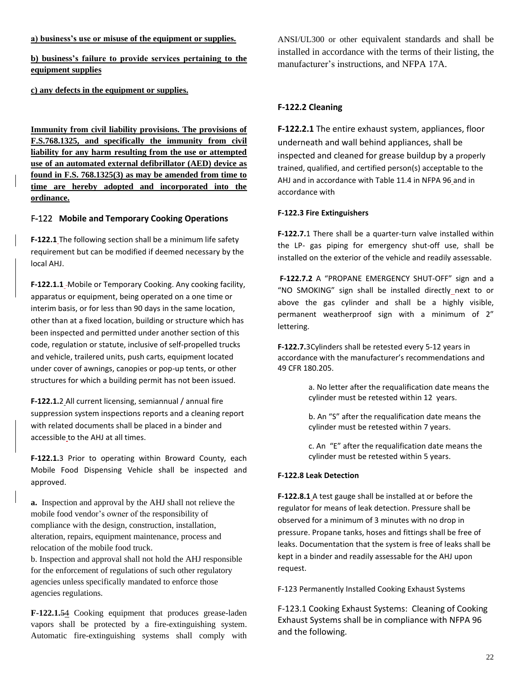#### **a) business's use or misuse of the equipment or supplies.**

**b) business's failure to provide services pertaining to the equipment supplies** 

**c) any defects in the equipment or supplies.**

**Immunity from civil liability provisions. The provisions of F.S.768.1325, and specifically the immunity from civil liability for any harm resulting from the use or attempted use of an automated external defibrillator (AED) device as found in F.S. 768.1325(3) as may be amended from time to time are hereby adopted and incorporated into the ordinance.**

#### F-122 **Mobile and Temporary Cooking Operations**

**F-122.1** The following section shall be a minimum life safety requirement but can be modified if deemed necessary by the local AHJ.

**F-122.1.1** Mobile or Temporary Cooking. Any cooking facility, apparatus or equipment, being operated on a one time or interim basis, or for less than 90 days in the same location, other than at a fixed location, building or structure which has been inspected and permitted under another section of this code, regulation or statute, inclusive of self-propelled trucks and vehicle, trailered units, push carts, equipment located under cover of awnings, canopies or pop-up tents, or other structures for which a building permit has not been issued.

**F-122.1.**2 All current licensing, semiannual / annual fire suppression system inspections reports and a cleaning report with related documents shall be placed in a binder and accessible to the AHJ at all times.

**F-122.1.**3 Prior to operating within Broward County, each Mobile Food Dispensing Vehicle shall be inspected and approved.

**a.** Inspection and approval by the AHJ shall not relieve the mobile food vendor's owner of the responsibility of compliance with the design, construction, installation, alteration, repairs, equipment maintenance, process and relocation of the mobile food truck.

b. Inspection and approval shall not hold the AHJ responsible for the enforcement of regulations of such other regulatory agencies unless specifically mandated to enforce those agencies regulations.

**F-122.1.**54 Cooking equipment that produces grease-laden vapors shall be protected by a fire-extinguishing system. Automatic fire-extinguishing systems shall comply with ANSI/UL300 or other equivalent standards and shall be installed in accordance with the terms of their listing, the manufacturer's instructions, and NFPA 17A.

#### **F-122.2 Cleaning**

**F-122.2.1** The entire exhaust system, appliances, floor underneath and wall behind appliances, shall be inspected and cleaned for grease buildup by a properly trained, qualified, and certified person(s) acceptable to the AHJ and in accordance with Table 11.4 in NFPA 96 and in accordance with

#### **F-122.3 Fire Extinguishers**

**F-122.7.**1 There shall be a quarter-turn valve installed within the LP- gas piping for emergency shut-off use, shall be installed on the exterior of the vehicle and readily assessable.

 **F-122.7.2** A "PROPANE EMERGENCY SHUT-OFF" sign and a "NO SMOKING" sign shall be installed directly next to or above the gas cylinder and shall be a highly visible, permanent weatherproof sign with a minimum of 2" lettering.

**F-122.7.**3Cylinders shall be retested every 5-12 years in accordance with the manufacturer's recommendations and 49 CFR 180.205.

> a. No letter after the requalification date means the cylinder must be retested within 12 years.

b. An "S" after the requalification date means the cylinder must be retested within 7 years.

c. An "E" after the requalification date means the cylinder must be retested within 5 years.

#### **F-122.8 Leak Detection**

**F-122.8.1** A test gauge shall be installed at or before the regulator for means of leak detection. Pressure shall be observed for a minimum of 3 minutes with no drop in pressure. Propane tanks, hoses and fittings shall be free of leaks. Documentation that the system is free of leaks shall be kept in a binder and readily assessable for the AHJ upon request.

F-123 Permanently Installed Cooking Exhaust Systems

F-123.1 Cooking Exhaust Systems: Cleaning of Cooking Exhaust Systems shall be in compliance with NFPA 96 and the following.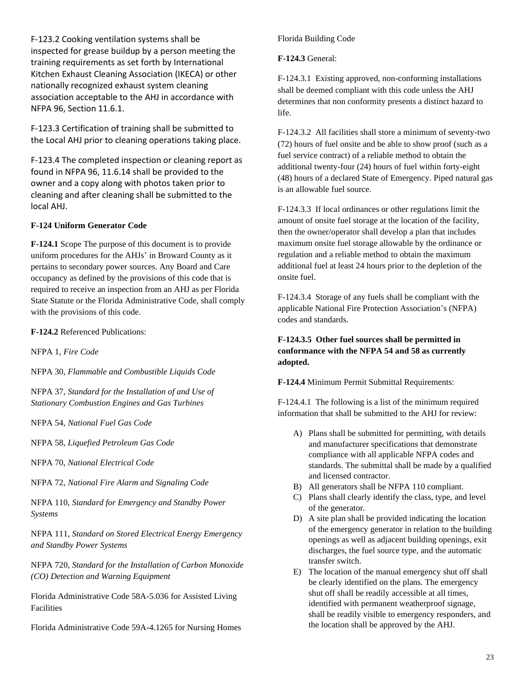F-123.2 Cooking ventilation systems shall be inspected for grease buildup by a person meeting the training requirements as set forth by International Kitchen Exhaust Cleaning Association (IKECA) or other nationally recognized exhaust system cleaning association acceptable to the AHJ in accordance with NFPA 96, Section 11.6.1.

F-123.3 Certification of training shall be submitted to the Local AHJ prior to cleaning operations taking place.

F-123.4 The completed inspection or cleaning report as found in NFPA 96, 11.6.14 shall be provided to the owner and a copy along with photos taken prior to cleaning and after cleaning shall be submitted to the local AHJ.

# **F-124 Uniform Generator Code**

**F-124.1** Scope The purpose of this document is to provide uniform procedures for the AHJs' in Broward County as it pertains to secondary power sources. Any Board and Care occupancy as defined by the provisions of this code that is required to receive an inspection from an AHJ as per Florida State Statute or the Florida Administrative Code, shall comply with the provisions of this code.

**F-124.2** Referenced Publications:

NFPA 1, *Fire Code*

NFPA 30, *Flammable and Combustible Liquids Code*

NFPA 37, *Standard for the Installation of and Use of Stationary Combustion Engines and Gas Turbines*

NFPA 54, *National Fuel Gas Code*

NFPA 58, *Liquefied Petroleum Gas Code*

NFPA 70, *National Electrical Code*

NFPA 72, *National Fire Alarm and Signaling Code*

NFPA 110, *Standard for Emergency and Standby Power Systems*

NFPA 111, *Standard on Stored Electrical Energy Emergency and Standby Power Systems*

NFPA 720, *Standard for the Installation of Carbon Monoxide (CO) Detection and Warning Equipment*

Florida Administrative Code 58A-5.036 for Assisted Living Facilities

Florida Administrative Code 59A-4.1265 for Nursing Homes

# Florida Building Code

**F-124.3** General:

F-124.3.1 Existing approved, non-conforming installations shall be deemed compliant with this code unless the AHJ determines that non conformity presents a distinct hazard to life.

F-124.3.2 All facilities shall store a minimum of seventy-two (72) hours of fuel onsite and be able to show proof (such as a fuel service contract) of a reliable method to obtain the additional twenty-four (24) hours of fuel within forty-eight (48) hours of a declared State of Emergency. Piped natural gas is an allowable fuel source.

F-124.3.3 If local ordinances or other regulations limit the amount of onsite fuel storage at the location of the facility, then the owner/operator shall develop a plan that includes maximum onsite fuel storage allowable by the ordinance or regulation and a reliable method to obtain the maximum additional fuel at least 24 hours prior to the depletion of the onsite fuel.

F-124.3.4 Storage of any fuels shall be compliant with the applicable National Fire Protection Association's (NFPA) codes and standards.

# **F-124.3.5 Other fuel sources shall be permitted in conformance with the NFPA 54 and 58 as currently adopted.**

**F-124.4** Minimum Permit Submittal Requirements:

F-124.4.1 The following is a list of the minimum required information that shall be submitted to the AHJ for review:

- A) Plans shall be submitted for permitting, with details and manufacturer specifications that demonstrate compliance with all applicable NFPA codes and standards. The submittal shall be made by a qualified and licensed contractor.
- B) All generators shall be NFPA 110 compliant.
- C) Plans shall clearly identify the class, type, and level of the generator.
- D) A site plan shall be provided indicating the location of the emergency generator in relation to the building openings as well as adjacent building openings, exit discharges, the fuel source type, and the automatic transfer switch.
- E) The location of the manual emergency shut off shall be clearly identified on the plans. The emergency shut off shall be readily accessible at all times, identified with permanent weatherproof signage, shall be readily visible to emergency responders, and the location shall be approved by the AHJ.